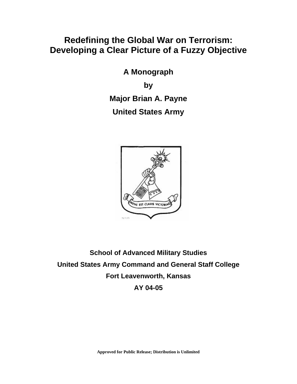# **Redefining the Global War on Terrorism: Developing a Clear Picture of a Fuzzy Objective**

**A Monograph by Major Brian A. Payne United States Army** 



**School of Advanced Military Studies United States Army Command and General Staff College Fort Leavenworth, Kansas AY 04-05**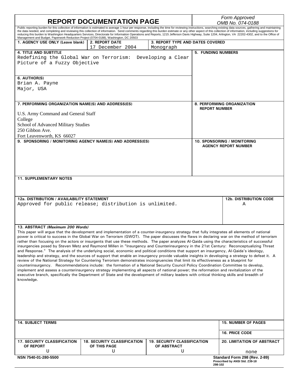| <b>REPORT DOCUMENTATION PAGE</b>                                                                                                                                                                                                                                                                                                                                                                                                                                                                                                                                                                                                                                                                                                                                                                                                                                                                                                                                                                                                                                                                                                                                                                                                                                                                                                                                                                                                                                                                                    |                                           |                                               | Form Approved<br>OMB No. 074-0188                          |                                                                 |  |
|---------------------------------------------------------------------------------------------------------------------------------------------------------------------------------------------------------------------------------------------------------------------------------------------------------------------------------------------------------------------------------------------------------------------------------------------------------------------------------------------------------------------------------------------------------------------------------------------------------------------------------------------------------------------------------------------------------------------------------------------------------------------------------------------------------------------------------------------------------------------------------------------------------------------------------------------------------------------------------------------------------------------------------------------------------------------------------------------------------------------------------------------------------------------------------------------------------------------------------------------------------------------------------------------------------------------------------------------------------------------------------------------------------------------------------------------------------------------------------------------------------------------|-------------------------------------------|-----------------------------------------------|------------------------------------------------------------|-----------------------------------------------------------------|--|
| Public reporting burden for this collection of information is estimated to average 1 hour per response, including the time for reviewing instructions, searching existing data sources, gathering and maintaining<br>the data needed, and completing and reviewing this collection of information. Send comments regarding this burden estimate or any other aspect of this collection of information, including suggestions for<br>reducing this burden to Washington Headquarters Services, Directorate for Information Operations and Reports, 1215 Jefferson Davis Highway, Suite 1204, Arlington, VA 22202-4302, and to the Office of<br>Management and Budget, Paperwork Reduction Project (0704-0188), Washington, DC 20503                                                                                                                                                                                                                                                                                                                                                                                                                                                                                                                                                                                                                                                                                                                                                                                  |                                           |                                               |                                                            |                                                                 |  |
| 1. AGENCY USE ONLY (Leave blank)                                                                                                                                                                                                                                                                                                                                                                                                                                                                                                                                                                                                                                                                                                                                                                                                                                                                                                                                                                                                                                                                                                                                                                                                                                                                                                                                                                                                                                                                                    | <b>2. REPORT DATE</b><br>17 December 2004 | 3. REPORT TYPE AND DATES COVERED<br>Monograph |                                                            |                                                                 |  |
| <b>4. TITLE AND SUBTITLE</b><br>Redefining the Global War on Terrorism:<br>Developing a Clear<br>Picture of a Fuzzy Objective                                                                                                                                                                                                                                                                                                                                                                                                                                                                                                                                                                                                                                                                                                                                                                                                                                                                                                                                                                                                                                                                                                                                                                                                                                                                                                                                                                                       |                                           |                                               | <b>5. FUNDING NUMBERS</b>                                  |                                                                 |  |
| 6. AUTHOR(S)<br>Brian A. Payne<br>Major, USA                                                                                                                                                                                                                                                                                                                                                                                                                                                                                                                                                                                                                                                                                                                                                                                                                                                                                                                                                                                                                                                                                                                                                                                                                                                                                                                                                                                                                                                                        |                                           |                                               |                                                            |                                                                 |  |
| 7. PERFORMING ORGANIZATION NAME(S) AND ADDRESS(ES)                                                                                                                                                                                                                                                                                                                                                                                                                                                                                                                                                                                                                                                                                                                                                                                                                                                                                                                                                                                                                                                                                                                                                                                                                                                                                                                                                                                                                                                                  |                                           |                                               | 8. PERFORMING ORGANIZATION<br><b>REPORT NUMBER</b>         |                                                                 |  |
| U.S. Army Command and General Staff<br>College<br>School of Advanced Military Studies<br>250 Gibbon Ave.<br>Fort Leavenworth, KS 66027                                                                                                                                                                                                                                                                                                                                                                                                                                                                                                                                                                                                                                                                                                                                                                                                                                                                                                                                                                                                                                                                                                                                                                                                                                                                                                                                                                              |                                           |                                               |                                                            |                                                                 |  |
| 9. SPONSORING / MONITORING AGENCY NAME(S) AND ADDRESS(ES)                                                                                                                                                                                                                                                                                                                                                                                                                                                                                                                                                                                                                                                                                                                                                                                                                                                                                                                                                                                                                                                                                                                                                                                                                                                                                                                                                                                                                                                           |                                           |                                               | 10. SPONSORING / MONITORING<br><b>AGENCY REPORT NUMBER</b> |                                                                 |  |
| <b>11. SUPPLEMENTARY NOTES</b>                                                                                                                                                                                                                                                                                                                                                                                                                                                                                                                                                                                                                                                                                                                                                                                                                                                                                                                                                                                                                                                                                                                                                                                                                                                                                                                                                                                                                                                                                      |                                           |                                               |                                                            |                                                                 |  |
|                                                                                                                                                                                                                                                                                                                                                                                                                                                                                                                                                                                                                                                                                                                                                                                                                                                                                                                                                                                                                                                                                                                                                                                                                                                                                                                                                                                                                                                                                                                     |                                           |                                               |                                                            |                                                                 |  |
| 12a. DISTRIBUTION / AVAILABILITY STATEMENT<br>Approved for public release; distribution is unlimited.                                                                                                                                                                                                                                                                                                                                                                                                                                                                                                                                                                                                                                                                                                                                                                                                                                                                                                                                                                                                                                                                                                                                                                                                                                                                                                                                                                                                               |                                           |                                               |                                                            | <b>12b. DISTRIBUTION CODE</b><br>Α                              |  |
| 13. ABSTRACT (Maximum 200 Words)<br>This paper will argue that the development and implementation of a counter-insurgency strategy that fully integrates all elements of national<br>power is critical to success in the Global War on Terrorism (GWOT). The paper discusses the flaws in declaring war on the method of terrorism<br>rather than focusing on the actors or insurgents that use these methods. The paper analyzes Al-Qaida using the characteristics of successful<br>insurgencies posed by Steven Metz and Raymond Millen in "Insurgency and Counterinsurgency in the 21st Century: Reconceptualizing Threat<br>and Response." The analysis of the underlying social, economic and political conditions that support an insurgency, Al-Qaida's ideology,<br>leadership and strategy, and the sources of support that enable an insurgency provide valuable insights in developing a strategy to defeat it. A<br>review of the National Strategy for Countering Terrorism demonstrates incongruencies that limit its effectiveness as a blueprint for<br>counterinsurgency. Recommendations include: the formation of a National Security Council Policy Coordination Committee to develop,<br>implement and assess a counterinsurgency strategy implementing all aspects of national power; the reformation and revitalization of the<br>executive branch, specifically the Department of State and the development of military leaders with critical thinking skills and breadth of<br>knowledge. |                                           |                                               |                                                            |                                                                 |  |
|                                                                                                                                                                                                                                                                                                                                                                                                                                                                                                                                                                                                                                                                                                                                                                                                                                                                                                                                                                                                                                                                                                                                                                                                                                                                                                                                                                                                                                                                                                                     |                                           |                                               |                                                            |                                                                 |  |
| <b>14. SUBJECT TERMS</b>                                                                                                                                                                                                                                                                                                                                                                                                                                                                                                                                                                                                                                                                                                                                                                                                                                                                                                                                                                                                                                                                                                                                                                                                                                                                                                                                                                                                                                                                                            |                                           |                                               |                                                            | <b>15. NUMBER OF PAGES</b><br><b>16. PRICE CODE</b>             |  |
| <b>17. SECURITY CLASSIFICATION</b>                                                                                                                                                                                                                                                                                                                                                                                                                                                                                                                                                                                                                                                                                                                                                                                                                                                                                                                                                                                                                                                                                                                                                                                                                                                                                                                                                                                                                                                                                  | <b>18. SECURITY CLASSIFICATION</b>        | <b>19. SECURITY CLASSIFICATION</b>            |                                                            | <b>20. LIMITATION OF ABSTRACT</b>                               |  |
| OF REPORT<br>U                                                                                                                                                                                                                                                                                                                                                                                                                                                                                                                                                                                                                                                                                                                                                                                                                                                                                                                                                                                                                                                                                                                                                                                                                                                                                                                                                                                                                                                                                                      | OF THIS PAGE<br>U                         | <b>OF ABSTRACT</b><br>U                       |                                                            | none                                                            |  |
| NSN 7540-01-280-5500                                                                                                                                                                                                                                                                                                                                                                                                                                                                                                                                                                                                                                                                                                                                                                                                                                                                                                                                                                                                                                                                                                                                                                                                                                                                                                                                                                                                                                                                                                |                                           |                                               | 298-102                                                    | Standard Form 298 (Rev. 2-89)<br>Prescribed by ANSI Std. Z39-18 |  |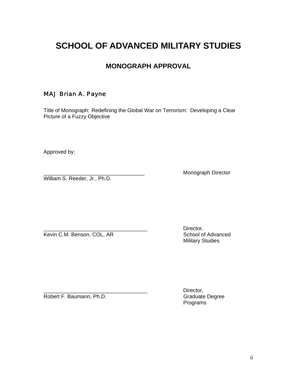# **SCHOOL OF ADVANCED MILITARY STUDIES**

# **MONOGRAPH APPROVAL**

# MAJ Brian A. Payne

Title of Monograph: Redefining the Global War on Terrorism: Developing a Clear Picture of a Fuzzy Objective

Approved by:

William S. Reeder, Jr., Ph.D.

Monograph Director

Kevin C.M. Benson, COL, AR School of Advanced

Director, Military Studies

Robert F. Baumann, Ph.D. Graduate Degree

Director, Programs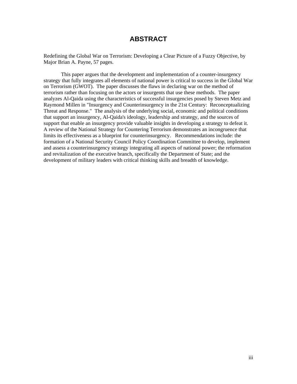## **ABSTRACT**

Redefining the Global War on Terrorism: Developing a Clear Picture of a Fuzzy Objective, by Major Brian A. Payne, 57 pages.

This paper argues that the development and implementation of a counter-insurgency strategy that fully integrates all elements of national power is critical to success in the Global War on Terrorism (GWOT). The paper discusses the flaws in declaring war on the method of terrorism rather than focusing on the actors or insurgents that use these methods. The paper analyzes Al-Qaida using the characteristics of successful insurgencies posed by Steven Metz and Raymond Millen in "Insurgency and Counterinsurgency in the 21st Century: Reconceptualizing Threat and Response." The analysis of the underlying social, economic and political conditions that support an insurgency, Al-Qaida's ideology, leadership and strategy, and the sources of support that enable an insurgency provide valuable insights in developing a strategy to defeat it. A review of the National Strategy for Countering Terrorism demonstrates an incongruence that limits its effectiveness as a blueprint for counterinsurgency. Recommendations include: the formation of a National Security Council Policy Coordination Committee to develop, implement and assess a counterinsurgency strategy integrating all aspects of national power; the reformation and revitalization of the executive branch, specifically the Department of State; and the development of military leaders with critical thinking skills and breadth of knowledge.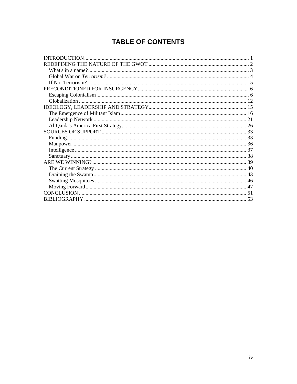# **TABLE OF CONTENTS**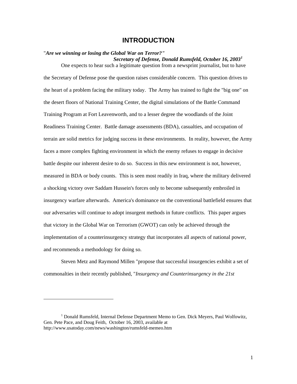## **INTRODUCTION**

## <span id="page-5-0"></span>"*Are we winning or losing the Global War on Terror?" Secretary of Defense, Donald Rumsfeld, October 16, 2003[1](#page-5-1)*

One expects to hear such a legitimate question from a newsprint journalist, but to have the Secretary of Defense pose the question raises considerable concern. This question drives to the heart of a problem facing the military today. The Army has trained to fight the "big one" on the desert floors of National Training Center, the digital simulations of the Battle Command Training Program at Fort Leavenworth, and to a lesser degree the woodlands of the Joint Readiness Training Center. Battle damage assessments (BDA), casualties, and occupation of terrain are solid metrics for judging success in these environments. In reality, however, the Army faces a more complex fighting environment in which the enemy refuses to engage in decisive battle despite our inherent desire to do so. Success in this new environment is not, however, measured in BDA or body counts. This is seen most readily in Iraq, where the military delivered a shocking victory over Saddam Hussein's forces only to become subsequently embroiled in insurgency warfare afterwards. America's dominance on the conventional battlefield ensures that our adversaries will continue to adopt insurgent methods in future conflicts. This paper argues that victory in the Global War on Terrorism (GWOT) can only be achieved through the implementation of a counterinsurgency strategy that incorporates all aspects of national power, and recommends a methodology for doing so.

Steven Metz and Raymond Millen "propose that successful insurgencies exhibit a set of commonalties in their recently published, "*Insurgency and Counterinsurgency in the 21st* 

<span id="page-5-1"></span><sup>&</sup>lt;sup>1</sup> Donald Rumsfeld, Internal Defense Department Memo to Gen. Dick Meyers, Paul Wolfowitz, Gen. Pete Pace, and Doug Feith, October 16, 2003, available at http://www.usatoday.com/news/washington/rumsfeld-memeo.htm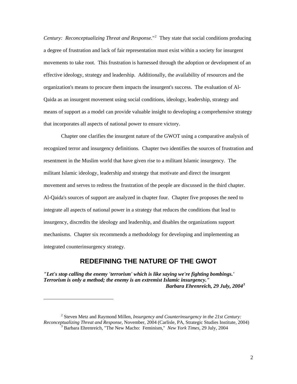<span id="page-6-0"></span>*Century: Reconceptualizing Threat and Response.*"[2](#page-6-1) They state that social conditions producing a degree of frustration and lack of fair representation must exist within a society for insurgent movements to take root. This frustration is harnessed through the adoption or development of an effective ideology, strategy and leadership. Additionally, the availability of resources and the organization's means to procure them impacts the insurgent's success. The evaluation of Al-Qaida as an insurgent movement using social conditions, ideology, leadership, strategy and means of support as a model can provide valuable insight to developing a comprehensive strategy that incorporates all aspects of national power to ensure victory.

Chapter one clarifies the insurgent nature of the GWOT using a comparative analysis of recognized terror and insurgency definitions. Chapter two identifies the sources of frustration and resentment in the Muslim world that have given rise to a militant Islamic insurgency. The militant Islamic ideology, leadership and strategy that motivate and direct the insurgent movement and serves to redress the frustration of the people are discussed in the third chapter. Al-Qaida's sources of support are analyzed in chapter four. Chapter five proposes the need to integrate all aspects of national power in a strategy that reduces the conditions that lead to insurgency, discredits the ideology and leadership, and disables the organizations support mechanisms. Chapter six recommends a methodology for developing and implementing an integrated counterinsurgency strategy.

## **REDEFINING THE NATURE OF THE GWOT**

*"Let's stop calling the enemy 'terrorism' which is like saying we're fighting bombings.' Terrorism is only a method; the enemy is an extremist Islamic insurgency." Barbara Ehrenreich, 29 July, 2004<sup>[3](#page-6-2)</sup></sup>* 

<span id="page-6-2"></span><span id="page-6-1"></span><sup>2</sup> Steven Metz and Raymond Millen, *Insurgency and Counterinsurgency in the 21st Century: Reconceptualizing Threat and Response*, November, 2004 (Carlisle, PA, Strategic Studies Institute, 2004) 3 <sup>3</sup> Barbara Ehrenreich, "The New Macho: Feminism," *New York Times*, 29 July, 2004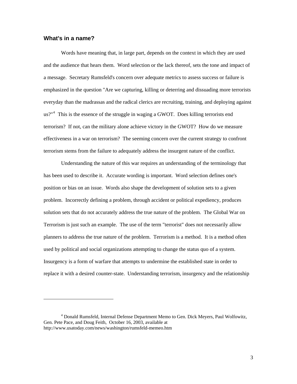## <span id="page-7-0"></span>**What's in a name?**

1

Words have meaning that, in large part, depends on the context in which they are used and the audience that hears them. Word selection or the lack thereof, sets the tone and impact of a message. Secretary Rumsfeld's concern over adequate metrics to assess success or failure is emphasized in the question "Are we capturing, killing or deterring and dissuading more terrorists everyday than the madrassas and the radical clerics are recruiting, training, and deploying against us?"<sup>[4](#page-7-1)</sup> This is the essence of the struggle in waging a GWOT. Does killing terrorists end terrorism? If not, can the military alone achieve victory in the GWOT? How do we measure effectiveness in a war on terrorism? The seeming concern over the current strategy to confront terrorism stems from the failure to adequately address the insurgent nature of the conflict.

Understanding the nature of this war requires an understanding of the terminology that has been used to describe it. Accurate wording is important. Word selection defines one's position or bias on an issue. Words also shape the development of solution sets to a given problem. Incorrectly defining a problem, through accident or political expediency, produces solution sets that do not accurately address the true nature of the problem. The Global War on Terrorism is just such an example. The use of the term "terrorist" does not necessarily allow planners to address the true nature of the problem. Terrorism is a method. It is a method often used by political and social organizations attempting to change the status quo of a system. Insurgency is a form of warfare that attempts to undermine the established state in order to replace it with a desired counter-state. Understanding terrorism, insurgency and the relationship

<span id="page-7-1"></span><sup>&</sup>lt;sup>4</sup> Donald Rumsfeld, Internal Defense Department Memo to Gen. Dick Meyers, Paul Wolfowitz, Gen. Pete Pace, and Doug Feith, October 16, 2003, available at http://www.usatoday.com/news/washington/rumsfeld-memeo.htm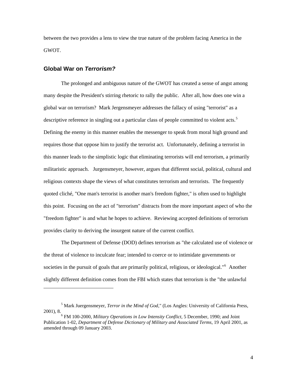<span id="page-8-0"></span>between the two provides a lens to view the true nature of the problem facing America in the GWOT.

#### **Global War on** *Terrorism?*

l

The prolonged and ambiguous nature of the GWOT has created a sense of angst among many despite the President's stirring rhetoric to rally the public. After all, how does one win a global war on terrorism? Mark Jergensmeyer addresses the fallacy of using "terrorist" as a descriptive reference in singling out a particular class of people committed to violent acts.<sup>[5](#page-8-1)</sup> Defining the enemy in this manner enables the messenger to speak from moral high ground and requires those that oppose him to justify the terrorist act. Unfortunately, defining a terrorist in this manner leads to the simplistic logic that eliminating terrorists will end terrorism, a primarily militaristic approach. Jurgensmeyer, however, argues that different social, political, cultural and religious contexts shape the views of what constitutes terrorism and terrorists. The frequently quoted cliché, "One man's terrorist is another man's freedom fighter," is often used to highlight this point. Focusing on the act of "terrorism" distracts from the more important aspect of who the "freedom fighter" is and what he hopes to achieve. Reviewing accepted definitions of terrorism provides clarity to deriving the insurgent nature of the current conflict.

The Department of Defense (DOD) defines terrorism as "the calculated use of violence or the threat of violence to inculcate fear; intended to coerce or to intimidate governments or societies in the pursuit of goals that are primarily political, religious, or ideological."<sup>[6](#page-8-2)</sup> Another slightly different definition comes from the FBI which states that terrorism is the "the unlawful

<span id="page-8-1"></span><sup>5</sup> Mark Juergensmeyer, *Terror in the Mind of God*," (Los Angles: University of California Press,  $2001$ , 8.

<span id="page-8-2"></span>FM 100-2000, *Military Operations in Low Intensity Conflict*, 5 December, 1990; and Joint Publication 1-02, *Department of Defense Dictionary of Military and Associated Terms*, 19 April 2001, as amended through 09 January 2003.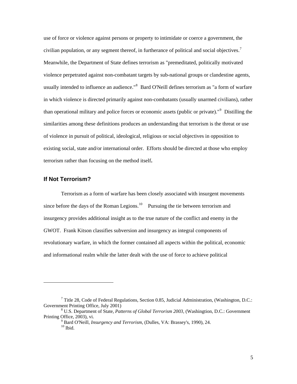<span id="page-9-0"></span>use of force or violence against persons or property to intimidate or coerce a government, the civilian population, or any segment thereof, in furtherance of political and social objectives.<sup>[7](#page-9-1)</sup> Meanwhile, the Department of State defines terrorism as "premeditated, politically motivated violence perpetrated against non-combatant targets by sub-national groups or clandestine agents, usually intended to influence an audience."<sup>[8](#page-9-2)</sup> Bard O'Neill defines terrorism as "a form of warfare in which violence is directed primarily against non-combatants (usually unarmed civilians), rather than operational military and police forces or economic assets (public or private)."[9](#page-9-3) Distilling the similarities among these definitions produces an understanding that terrorism is the threat or use of violence in pursuit of political, ideological, religious or social objectives in opposition to existing social, state and/or international order. Efforts should be directed at those who employ terrorism rather than focusing on the method itself**.**

## **If Not Terrorism?**

l

Terrorism as a form of warfare has been closely associated with insurgent movements since before the days of the Roman Legions.<sup>[10](#page-9-4)</sup> Pursuing the tie between terrorism and insurgency provides additional insight as to the true nature of the conflict and enemy in the GWOT. Frank Kitson classifies subversion and insurgency as integral components of revolutionary warfare, in which the former contained all aspects within the political, economic and informational realm while the latter dealt with the use of force to achieve political

<span id="page-9-1"></span><sup>&</sup>lt;sup>7</sup> Title 28, Code of Federal Regulations, Section 0.85, Judicial Administration, (Washington, D.C.: Government Printing Office, July 2001)

<span id="page-9-4"></span><span id="page-9-3"></span><span id="page-9-2"></span>U.S. Department of State, *Patterns of Global Terrorism 2003,* (Washingtion, D.C.: Government Printing Office, 2003), vi.

<sup>&</sup>lt;sup>9</sup> Bard O'Neill, *Insurgency and Terrorism*, (Dulles, VA: Brassey's, 1990), 24. <sup>10</sup> Ibid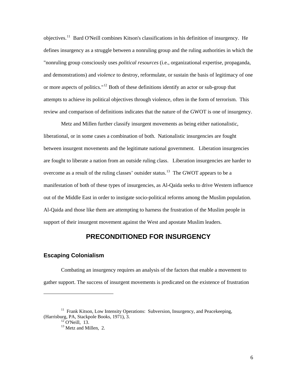<span id="page-10-0"></span>objectives.[11](#page-10-1) Bard O'Neill combines Kitson's classifications in his definition of insurgency. He defines insurgency as a struggle between a nonruling group and the ruling authorities in which the "nonruling group consciously uses *political resources* (i.e., organizational expertise, propaganda, and demonstrations) and *violence* to destroy, reformulate, or sustain the basis of legitimacy of one or more aspects of politics."<sup>[12](#page-10-2)</sup> Both of these definitions identify an actor or sub-group that attempts to achieve its political objectives through violence, often in the form of terrorism. This review and comparison of definitions indicates that the nature of the GWOT is one of insurgency.

Metz and Millen further classify insurgent movements as being either nationalistic, liberational, or in some cases a combination of both. Nationalistic insurgencies are fought between insurgent movements and the legitimate national government. Liberation insurgencies are fought to liberate a nation from an outside ruling class. Liberation insurgencies are harder to overcome as a result of the ruling classes' outsider status.<sup>[13](#page-10-3)</sup> The GWOT appears to be a manifestation of both of these types of insurgencies, as Al-Qaida seeks to drive Western influence out of the Middle East in order to instigate socio-political reforms among the Muslim population. Al-Qaida and those like them are attempting to harness the frustration of the Muslim people in support of their insurgent movement against the West and apostate Muslim leaders.

## **PRECONDITIONED FOR INSURGENCY**

#### **Escaping Colonialism**

Combating an insurgency requires an analysis of the factors that enable a movement to gather support. The success of insurgent movements is predicated on the existence of frustration

<span id="page-10-3"></span><span id="page-10-2"></span><span id="page-10-1"></span> $11$  Frank Kitson, Low Intensity Operations: Subversion, Insurgency, and Peacekeeping, (Harrisburg, PA, Stackpole Books, 1971), 3. 12 O'Neill, 13.

<sup>&</sup>lt;sup>13</sup> Metz and Millen, 2.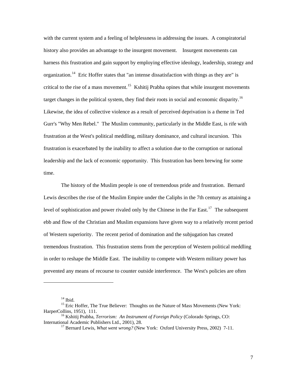with the current system and a feeling of helplessness in addressing the issues. A conspiratorial history also provides an advantage to the insurgent movement. Insurgent movements can harness this frustration and gain support by employing effective ideology, leadership, strategy and organization.<sup>[14](#page-11-0)</sup> Eric Hoffer states that "an intense dissatisfaction with things as they are" is critical to the rise of a mass movement.<sup>[15](#page-11-1)</sup> Kshitij Prabha opines that while insurgent movements target changes in the political system, they find their roots in social and economic disparity.<sup>[16](#page-11-2)</sup> Likewise, the idea of collective violence as a result of perceived deprivation is a theme in Ted Gurr's "Why Men Rebel." The Muslim community, particularly in the Middle East, is rife with frustration at the West's political meddling, military dominance, and cultural incursion. This frustration is exacerbated by the inability to affect a solution due to the corruption or national leadership and the lack of economic opportunity. This frustration has been brewing for some time.

The history of the Muslim people is one of tremendous pride and frustration. Bernard Lewis describes the rise of the Muslim Empire under the Caliphs in the 7th century as attaining a level of sophistication and power rivaled only by the Chinese in the Far East.<sup>[17](#page-11-3)</sup> The subsequent ebb and flow of the Christian and Muslim expansions have given way to a relatively recent period of Western superiority. The recent period of domination and the subjugation has created tremendous frustration. This frustration stems from the perception of Western political meddling in order to reshape the Middle East. The inability to compete with Western military power has prevented any means of recourse to counter outside interference. The West's policies are often

 $14$  Ibid.

<span id="page-11-1"></span><span id="page-11-0"></span><sup>&</sup>lt;sup>15</sup> Eric Hoffer, The True Believer: Thoughts on the Nature of Mass Movements (New York: HarperCollins, 1951), 111.

<span id="page-11-3"></span><span id="page-11-2"></span><sup>&</sup>lt;sup>16</sup> Kshitij Prabha, *Terrorism: An Instrument of Foreign Policy* (Colorado Springs, CO: International Academic Publishers Ltd., 2001), 28.

<sup>&</sup>lt;sup>17</sup> Bernard Lewis, *What went wrong?* (New York: Oxford University Press, 2002) 7-11.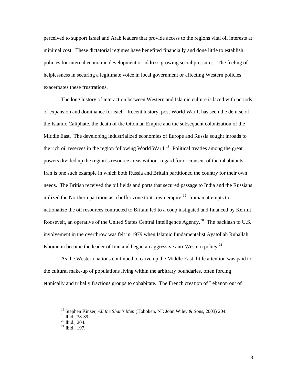perceived to support Israel and Arab leaders that provide access to the regions vital oil interests at minimal cost. These dictatorial regimes have benefited financially and done little to establish policies for internal economic development or address growing social pressures. The feeling of helplessness in securing a legitimate voice in local government or affecting Western policies exacerbates these frustrations.

The long history of interaction between Western and Islamic culture is laced with periods of expansion and dominance for each. Recent history, post World War I, has seen the demise of the Islamic Caliphate, the death of the Ottoman Empire and the subsequent colonization of the Middle East. The developing industrialized economies of Europe and Russia sought inroads to the rich oil reserves in the region following World War I.<sup>[18](#page-12-0)</sup> Political treaties among the great powers divided up the region's resource areas without regard for or consent of the inhabitants. Iran is one such example in which both Russia and Britain partitioned the country for their own needs. The British received the oil fields and ports that secured passage to India and the Russians utilized the Northern partition as a buffer zone to its own empire.<sup>[19](#page-12-1)</sup> Iranian attempts to nationalize the oil resources contracted to Britain led to a coup instigated and financed by Kermit Roosevelt, an operative of the United States Central Intelligence Agency.<sup>[20](#page-12-2)</sup> The backlash to U.S. involvement in the overthrow was felt in 1979 when Islamic fundamentalist Ayatollah Ruhallah Khomeini became the leader of Iran and began an aggressive anti-Western policy.<sup>[21](#page-12-3)</sup>

As the Western nations continued to carve up the Middle East, little attention was paid to the cultural make-up of populations living within the arbitrary boundaries, often forcing ethnically and tribally fractious groups to cohabitate. The French creation of Lebanon out of

<span id="page-12-1"></span><span id="page-12-0"></span><sup>18</sup> Stephen Kinzer, *All the Shah's Men* (Hoboken, NJ: John Wiley & Sons, 2003) 204.

<sup>19</sup> Ibid., 38-39.

<span id="page-12-2"></span> $20$ <sup>20</sup> Ibid., 204.

<span id="page-12-3"></span> $^{21}$  Ibid., 197.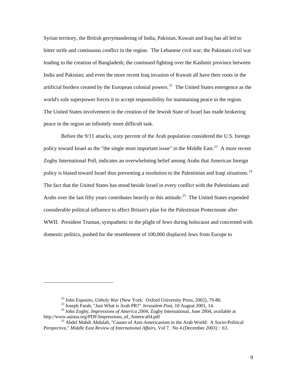Syrian territory, the British gerrymandering of India, Pakistan, Kuwait and Iraq has all led to bitter strife and continuous conflict in the region. The Lebanese civil war; the Pakistani civil war leading to the creation of Bangladesh; the continued fighting over the Kashmir province between India and Pakistan; and even the more recent Iraq invasion of Kuwait all have their roots in the artificial borders created by the European colonial powers.<sup>[22](#page-13-0)</sup> The United States emergence as the world's sole superpower forces it to accept responsibility for maintaining peace in the region. The United States involvement in the creation of the Jewish State of Israel has made brokering peace in the region an infinitely more difficult task.

Before the 9/11 attacks, sixty percent of the Arab population considered the U.S. foreign policy toward Israel as the "the single most important issue" in the Middle East.<sup>[23](#page-13-1)</sup> A more recent Zogby International Poll, indicates an overwhelming belief among Arabs that American foreign policy is biased toward Israel thus preventing a resolution to the Palestinian and Iraqi situations.<sup>[24](#page-13-2)</sup> The fact that the United States has stood beside Israel in every conflict with the Palestinians and Arabs over the last fifty years contributes heavily to this attitude.<sup>[25](#page-13-3)</sup> The United States expended considerable political influence to affect Britain's plan for the Palestinian Protectorate after WWII. President Truman, sympathetic to the plight of Jews during holocaust and concerned with domestic politics, pushed for the resettlement of 100,000 displaced Jews from Europe to

<span id="page-13-2"></span><span id="page-13-1"></span><span id="page-13-0"></span><sup>&</sup>lt;sup>22</sup> John Esposito, *Unholy War* (New York: Oxford University Press, 2002), 79-80.<br><sup>23</sup> Joseph Farah, "Just What is Arab PR?" *Jerusalem Post*, 10 August 2001, 14.<br><sup>24</sup> John Zogby, *Impressions of America 2004*, Zogby Int

<span id="page-13-3"></span><sup>&</sup>lt;sup>25</sup> Abdel Mahdi Abdalah, "Causes of Anti-Americanism in the Arab World: A Socio-Political Perspective," *Middle East Review of International Affairs*, Vol 7. No 4 (December 2003) : 63.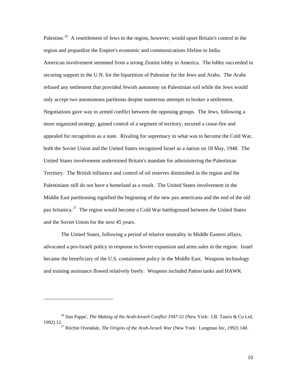Palestine.<sup>[26](#page-14-0)</sup> A resettlement of Jews in the region, however, would upset Britain's control in the region and jeopardize the Empire's economic and communications lifeline to India. American involvement stemmed from a strong Zionist lobby in America. The lobby succeeded in securing support in the U.N. for the bipartition of Palestine for the Jews and Arabs. The Arabs refused any settlement that provided Jewish autonomy on Palestinian soil while the Jews would only accept two autonomous partitions despite numerous attempts to broker a settlement. Negotiations gave way to armed conflict between the opposing groups. The Jews, following a more organized strategy, gained control of a segment of territory, secured a cease-fire and appealed for recognition as a state. Rivaling for supremacy in what was to become the Cold War, both the Soviet Union and the United States recognized Israel as a nation on 18 May, 1948. The United States involvement undermined Britain's mandate for administering the Palestinian Territory. The British influence and control of oil reserves diminished in the region and the Palestinians still do not have a homeland as a result. The United States involvement in the Middle East partitioning signified the beginning of the new pax americana and the end of the old pax britanica.[27](#page-14-1) The region would become a Cold War battleground between the United States and the Soviet Union for the next 45 years.

The United States, following a period of relative neutrality in Middle Eastern affairs, advocated a pro-Israeli policy in response to Soviet expansion and arms sales in the region. Israel became the beneficiary of the U.S. containment policy in the Middle East. Weapons technology and training assistance flowed relatively freely. Weapons included Patton tanks and HAWK

<span id="page-14-1"></span><span id="page-14-0"></span><sup>26</sup> Ilan Pappe', *The Making of the Arab-Israeli Conflict 1947-51* (New York: I.B. Tauris & Co Ltd, 1992) 12. 27 Ritchie Ovendale, *The Origins of the Arab-Israeli War* (New York: Longman Inc, 1992) 140.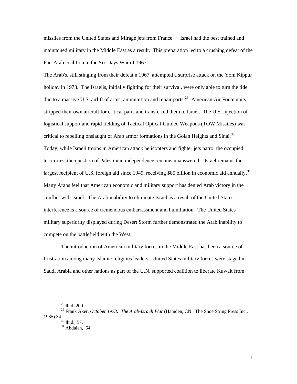missiles from the United States and Mirage jets from France.<sup>[28](#page-15-0)</sup> Israel had the best trained and maintained military in the Middle East as a result. This preparation led to a crushing defeat of the Pan-Arab coalition in the Six Days War of 1967.

The Arab's, still stinging from their defeat n 1967, attempted a surprise attack on the Yom Kippur holiday in 1973. The Israelis, initially fighting for their survival, were only able to turn the tide due to a massive U.S. airlift of arms, ammunition and repair parts.<sup>[29](#page-15-1)</sup> American Air Force units stripped their own aircraft for critical parts and transferred them to Israel. The U.S. injection of logistical support and rapid fielding of Tactical Optical-Guided Weapons (TOW Missiles) was critical to repelling onslaught of Arab armor formations in the Golan Heights and Sinai.<sup>[30](#page-15-2)</sup> Today, while Israeli troops in American attack helicopters and fighter jets patrol the occupied territories, the question of Palestinian independence remains unanswered. Israel remains the largest recipient of U.S. foreign aid since 1949, receiving \$85 billion in economic aid annually.<sup>[31](#page-15-3)</sup> Many Arabs feel that American economic and military support has denied Arab victory in the conflict with Israel. The Arab inability to eliminate Israel as a result of the United States interference is a source of tremendous embarrassment and humiliation. The United States military superiority displayed during Desert Storm further demonstrated the Arab inability to compete on the battlefield with the West.

The introduction of American military forces in the Middle East has been a source of frustration among many Islamic religious leaders. United States military forces were staged in Saudi Arabia and other nations as part of the U.N. supported coalition to liberate Kuwait from

<sup>28</sup> Ibid. 200.

<span id="page-15-3"></span><span id="page-15-2"></span><span id="page-15-1"></span><span id="page-15-0"></span><sup>29</sup> Frank Aker, *October 1973: The Arab-Israeli War* (Hamden, CN: The Shoe String Press Inc., 1985) 34.<br> $30$  Ibid., 57.

 $31$  Abdalah, 64.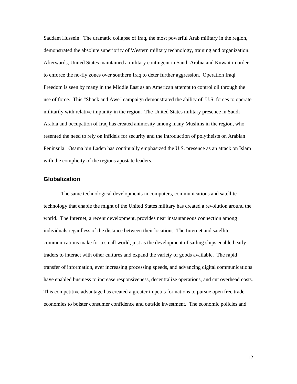<span id="page-16-0"></span>Saddam Hussein. The dramatic collapse of Iraq, the most powerful Arab military in the region, demonstrated the absolute superiority of Western military technology, training and organization. Afterwards, United States maintained a military contingent in Saudi Arabia and Kuwait in order to enforce the no-fly zones over southern Iraq to deter further aggression. Operation Iraqi Freedom is seen by many in the Middle East as an American attempt to control oil through the use of force. This "Shock and Awe" campaign demonstrated the ability of U.S. forces to operate militarily with relative impunity in the region. The United States military presence in Saudi Arabia and occupation of Iraq has created animosity among many Muslims in the region, who resented the need to rely on infidels for security and the introduction of polytheists on Arabian Peninsula. Osama bin Laden has continually emphasized the U.S. presence as an attack on Islam with the complicity of the regions apostate leaders.

## **Globalization**

The same technological developments in computers, communications and satellite technology that enable the might of the United States military has created a revolution around the world. The Internet, a recent development, provides near instantaneous connection among individuals regardless of the distance between their locations. The Internet and satellite communications make for a small world, just as the development of sailing ships enabled early traders to interact with other cultures and expand the variety of goods available. The rapid transfer of information, ever increasing processing speeds, and advancing digital communications have enabled business to increase responsiveness, decentralize operations, and cut overhead costs. This competitive advantage has created a greater impetus for nations to pursue open free trade economies to bolster consumer confidence and outside investment. The economic policies and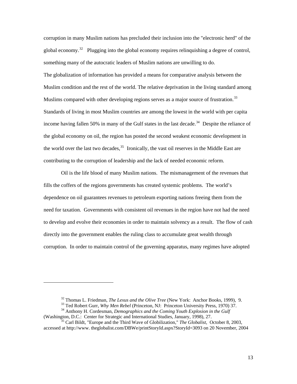corruption in many Muslim nations has precluded their inclusion into the "electronic herd" of the global economy.<sup>[32](#page-17-0)</sup> Plugging into the global economy requires relinquishing a degree of control, something many of the autocratic leaders of Muslim nations are unwilling to do. The globalization of information has provided a means for comparative analysis between the Muslim condition and the rest of the world. The relative deprivation in the living standard among Muslims compared with other developing regions serves as a major source of frustration.<sup>[33](#page-17-1)</sup> Standards of living in most Muslim countries are among the lowest in the world with per capita income having fallen 50% in many of the Gulf states in the last decade.<sup>[34](#page-17-2)</sup> Despite the reliance of the global economy on oil, the region has posted the second weakest economic development in the world over the last two decades,<sup>[35](#page-17-3)</sup> Ironically, the vast oil reserves in the Middle East are contributing to the corruption of leadership and the lack of needed economic reform.

Oil is the life blood of many Muslim nations. The mismanagement of the revenues that fills the coffers of the regions governments has created systemic problems. The world's dependence on oil guarantees revenues to petroleum exporting nations freeing them from the need for taxation. Governments with consistent oil revenues in the region have not had the need to develop and evolve their economies in order to maintain solvency as a result. The flow of cash directly into the government enables the ruling class to accumulate great wealth through corruption. In order to maintain control of the governing apparatus, many regimes have adopted

l

<span id="page-17-3"></span>accessed at http://www. theglobalist.com/DBWe/printStoryId.aspx?StoryId=3093 on 20 November, 2004

<sup>&</sup>lt;sup>32</sup> Thomas L. Friedman, *The Lexus and the Olive Tree* (New York: Anchor Books, 1999), 9.<br><sup>33</sup> Ted Robert Gurr, *Why Men Rebel* (Princeton, NJ: Princeton University Press, 1970) 37.<br><sup>34</sup> Anthony H. Cordesman, *Demographi* 

<span id="page-17-2"></span><span id="page-17-1"></span><span id="page-17-0"></span><sup>(</sup>Washington, D.C.: Center for Strategic and International Studies, January, 1998), 27. 35 Carl Bildt, "Europe and the Third Wave of Globilization," *The Globalist*, October 8, 2003,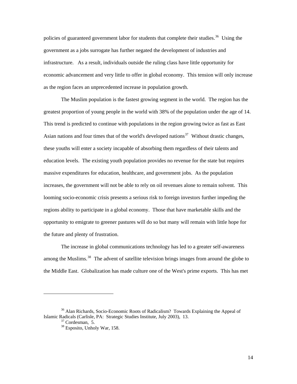policies of guaranteed government labor for students that complete their studies.<sup>[36](#page-18-0)</sup> Using the government as a jobs surrogate has further negated the development of industries and infrastructure. As a result, individuals outside the ruling class have little opportunity for economic advancement and very little to offer in global economy. This tension will only increase as the region faces an unprecedented increase in population growth.

The Muslim population is the fastest growing segment in the world. The region has the greatest proportion of young people in the world with 38% of the population under the age of 14. This trend is predicted to continue with populations in the region growing twice as fast as East Asian nations and four times that of the world's developed nations<sup>[37](#page-18-1)</sup> Without drastic changes, these youths will enter a society incapable of absorbing them regardless of their talents and education levels. The existing youth population provides no revenue for the state but requires massive expenditures for education, healthcare, and government jobs. As the population increases, the government will not be able to rely on oil revenues alone to remain solvent. This looming socio-economic crisis presents a serious risk to foreign investors further impeding the regions ability to participate in a global economy. Those that have marketable skills and the opportunity to emigrate to greener pastures will do so but many will remain with little hope for the future and plenty of frustration.

The increase in global communications technology has led to a greater self-awareness among the Muslims.<sup>[38](#page-18-2)</sup> The advent of satellite television brings images from around the globe to the Middle East. Globalization has made culture one of the West's prime exports. This has met

<span id="page-18-2"></span><span id="page-18-1"></span><span id="page-18-0"></span><sup>&</sup>lt;sup>36</sup> Alan Richards, Socio-Economic Roots of Radicalism? Towards Explaining the Appeal of Islamic Radicals (Carlisle, PA: Strategic Studies Institute, July 2003), 13. 37 Cordesman, 5.

<sup>38</sup> Esposito, Unholy War, 158.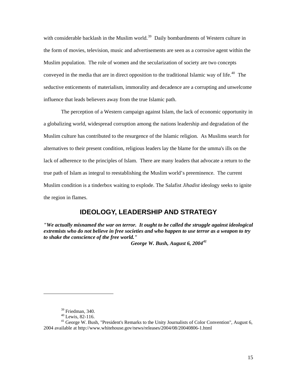<span id="page-19-0"></span>with considerable backlash in the Muslim world.<sup>[39](#page-19-1)</sup> Daily bombardments of Western culture in the form of movies, television, music and advertisements are seen as a corrosive agent within the Muslim population. The role of women and the secularization of society are two concepts conveyed in the media that are in direct opposition to the traditional Islamic way of life.<sup>[40](#page-19-2)</sup> The seductive enticements of materialism, immorality and decadence are a corrupting and unwelcome influence that leads believers away from the true Islamic path.

The perception of a Western campaign against Islam, the lack of economic opportunity in a globalizing world, widespread corruption among the nations leadership and degradation of the Muslim culture has contributed to the resurgence of the Islamic religion. As Muslims search for alternatives to their present condition, religious leaders lay the blame for the umma's ills on the lack of adherence to the principles of Islam. There are many leaders that advocate a return to the true path of Islam as integral to reestablishing the Muslim world's preeminence. The current Muslim condition is a tinderbox waiting to explode. The Salafist *Jihadist* ideology seeks to ignite the region in flames.

# **IDEOLOGY, LEADERSHIP AND STRATEGY**

*"We actually misnamed the war on terror. It ought to be called the struggle against ideological extremists who do not believe in free societies and who happen to use terror as a weapon to try to shake the conscience of the free world."* 

 *George W. Bush, August 6, 2004[41](#page-19-3)* 

 $39$  Friedman, 340.

<sup>40</sup> Lewis, 82-116.

<span id="page-19-3"></span><span id="page-19-2"></span><span id="page-19-1"></span><sup>&</sup>lt;sup>41</sup> George W. Bush, "President's Remarks to the Unity Journalists of Color Convention", August 6, 2004 available at http://www.whitehouse.gov/news/releases/2004/08/20040806-1.html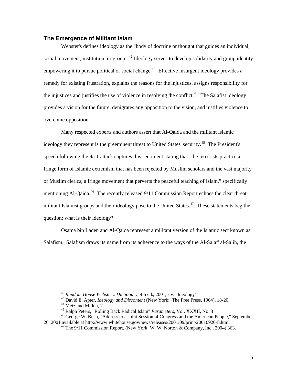#### <span id="page-20-0"></span>**The Emergence of Militant Islam**

Webster's defines ideology as the "body of doctrine or thought that guides an individual, social movement, institution, or group."<sup>[42](#page-20-1)</sup> Ideology serves to develop solidarity and group identity empowering it to pursue political or social change.<sup>[43](#page-20-2)</sup> Effective insurgent ideology provides a remedy for existing frustration, explains the reasons for the injustices, assigns responsibility for the injustices and justifies the use of violence in resolving the conflict.<sup>[44](#page-20-3)</sup> The Salafist ideology provides a vision for the future, denigrates any opposition to the vision, and justifies violence to overcome opposition.

Many respected experts and authors assert that Al-Qaida and the militant Islamic ideology they represent is the preeminent threat to United States' security.<sup>[45](#page-20-4)</sup> The President's speech following the 9/11 attack captures this sentiment stating that "the terrorists practice a fringe form of Islamic extremism that has been rejected by Muslim scholars and the vast majority of Muslim clerics, a fringe movement that perverts the peaceful teaching of Islam," specifically mentioning Al-Qaida.<sup>[46](#page-20-5)</sup> The recently released 9/11 Commission Report echoes the clear threat militant Islamist groups and their ideology pose to the United States.<sup>[47](#page-20-6)</sup> These statements beg the question; what is their ideology?

Osama bin Laden and Al-Qaida represent a militant version of the Islamic sect known as Salafism. Salafism draws its name from its adherence to the ways of the Al-Salaf' al-Salih, the

<sup>&</sup>lt;sup>42</sup> *Random House Webster's Dictionary*, 4th ed., 2001, s.v. "Ideology"<br><sup>43</sup> David E. Apter, *Ideology and Discontent* (New York: The Free Press, 1964), 18-20.<br><sup>44</sup> Metz and Millen, 7.<br><sup>45</sup> Ralph Peters, "Rolling Back Rad

<span id="page-20-6"></span><span id="page-20-5"></span><span id="page-20-4"></span><span id="page-20-3"></span><span id="page-20-2"></span><span id="page-20-1"></span><sup>&</sup>lt;sup>46</sup> George W. Bush, "Address to a Joint Session of Congress and the American People," September 20, 2001 available at http://www.whitehouse.gov/news/releases/2001/09/print/20010920-8.html

<sup>&</sup>lt;sup>47</sup> The 9/11 Commission Report, (New York: W. W. Norton & Company, Inc., 2004) 363.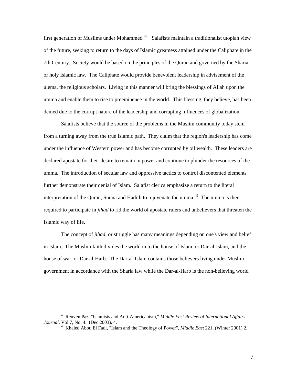first generation of Muslims under Mohammed.<sup>[48](#page-21-0)</sup> Salafists maintain a traditionalist utopian view of the future, seeking to return to the days of Islamic greatness attained under the Caliphate in the 7th Century. Society would be based on the principles of the Quran and governed by the Sharia, or holy Islamic law. The Caliphate would provide benevolent leadership in advisement of the ulema, the religious scholars. Living in this manner will bring the blessings of Allah upon the umma and enable them to rise to preeminence in the world. This blessing, they believe, has been denied due to the corrupt nature of the leadership and corrupting influences of globalization.

Salafists believe that the source of the problems in the Muslim community today stem from a turning away from the true Islamic path. They claim that the region's leadership has come under the influence of Western power and has become corrupted by oil wealth. These leaders are declared apostate for their desire to remain in power and continue to plunder the resources of the umma. The introduction of secular law and oppressive tactics to control discontented elements further demonstrate their denial of Islam. Salafist clerics emphasize a return to the literal interpretation of the Quran, Sunna and Hadith to rejuvenate the umma.<sup>[49](#page-21-1)</sup> The umma is then required to participate in *jihad* to rid the world of apostate rulers and unbelievers that threaten the Islamic way of life.

The concept of *jihad*, or struggle has many meanings depending on one's view and belief in Islam. The Muslim faith divides the world in to the house of Islam, or Dar-al-Islam, and the house of war, or Dar-al-Harb. The Dar-al-Islam contains those believers living under Muslim government in accordance with the Sharia law while the Dar-al-Harb is the non-believing world

<span id="page-21-1"></span><span id="page-21-0"></span><sup>48</sup> Reuven Paz, "Islamists and Anti-Americanism," *Middle East Review of International Affairs Journal*, Vol 7, No. 4. (Dec 2003), 4.

<sup>49</sup> Khaled Abou El Fadl, "Islam and the Theology of Power", *Middle East* 221, (Winter 2001) 2.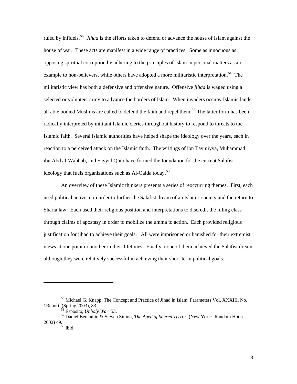ruled by infidels.<sup>[50](#page-22-0)</sup> *Jihad* is the efforts taken to defend or advance the house of Islam against the house of war. These acts are manifest in a wide range of practices. Some as innocuous as opposing spiritual corruption by adhering to the principles of Islam in personal matters as an example to non-believers, while others have adopted a more militaristic interpretation.<sup>[51](#page-22-1)</sup> The militaristic view has both a defensive and offensive nature. Offensive *jihad* is waged using a selected or volunteer army to advance the borders of Islam. When invaders occupy Islamic lands, all able bodied Muslims are called to defend the faith and repel them.<sup>[52](#page-22-2)</sup> The latter form has been radically interpreted by militant Islamic clerics throughout history to respond to threats to the Islamic faith. Several Islamic authorities have helped shape the ideology over the years, each in reaction to a perceived attack on the Islamic faith. The writings of ibn Taymiyya, Muhammad ibn Abd al-Wahhab, and Sayyid Qutb have formed the foundation for the current Salafist ideology that fuels organizations such as Al-Qaida today.<sup>[53](#page-22-3)</sup>

An overview of these Islamic thinkers presents a series of reoccurring themes. First, each used political activism in order to further the Salafist dream of an Islamic society and the return to Sharia law. Each used their religious position and interpretations to discredit the ruling class through claims of apostasy in order to mobilize the umma to action. Each provided religious justification for jihad to achieve their goals. All were imprisoned or banished for their extremist views at one point or another in their lifetimes. Finally, none of them achieved the Salafist dream although they were relatively successful in achieving their short-term political goals.

<span id="page-22-0"></span><sup>&</sup>lt;sup>50</sup> Michael G. Knapp, The Concept and Practice of Jihad in Islam, Parameters Vol. XXXIII, No. 1 Report, (Spring 2003), 83.<br><sup>51</sup> Esposito, *Unholy War*, 53.

<span id="page-22-3"></span><span id="page-22-2"></span><span id="page-22-1"></span><sup>&</sup>lt;sup>52</sup> Daniel Benjamin & Steven Simon, *The Aged of Sacred Terror*, (New York: Random House, 2002) 49.<br> $^{53}$  Ibid.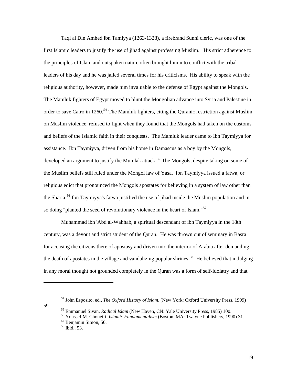Taqi al Din Amhed ibn Tamiyya (1263-1328), a firebrand Sunni cleric, was one of the first Islamic leaders to justify the use of jihad against professing Muslim. His strict adherence to the principles of Islam and outspoken nature often brought him into conflict with the tribal leaders of his day and he was jailed several times for his criticisms. His ability to speak with the religious authority, however, made him invaluable to the defense of Egypt against the Mongols. The Mamluk fighters of Egypt moved to blunt the Mongolian advance into Syria and Palestine in order to save Cairo in 1260.<sup>[54](#page-23-0)</sup> The Mamluk fighters, citing the Quranic restriction against Muslim on Muslim violence, refused to fight when they found that the Mongols had taken on the customs and beliefs of the Islamic faith in their conquests. The Mamluk leader came to Ibn Taymiyya for assistance. Ibn Taymiyya, driven from his home in Damascus as a boy by the Mongols, developed an argument to justify the Mumlak attack.<sup>[55](#page-23-1)</sup> The Mongols, despite taking on some of the Muslim beliefs still ruled under the Mongol law of Yasa. Ibn Taymiyya issued a fatwa, or religious edict that pronounced the Mongols apostates for believing in a system of law other than the Sharia.<sup>[56](#page-23-2)</sup> Ibn Taymiyya's fatwa justified the use of jihad inside the Muslim population and in so doing "planted the seed of revolutionary violence in the heart of Islam."<sup>[57](#page-23-3)</sup>

Muhammad ibn 'Abd al-Wahhab, a spiritual descendant of ibn Taymiyya in the 18th century, was a devout and strict student of the Quran. He was thrown out of seminary in Basra for accusing the citizens there of apostasy and driven into the interior of Arabia after demanding the death of apostates in the village and vandalizing popular shrines.<sup>[58](#page-23-4)</sup> He believed that indulging in any moral thought not grounded completely in the Quran was a form of self-idolatry and that

<sup>54</sup> John Esposito, ed., *The Oxford History of Islam*, (New York: Oxford University Press, 1999)

<span id="page-23-4"></span><span id="page-23-3"></span><span id="page-23-2"></span><span id="page-23-1"></span><span id="page-23-0"></span><sup>59. 55</sup> Emmanuel Sivan, *Radical Islam* (New Haven, CN: Yale University Press, 1985) 100. 56 Youssef M. Choueiri, *Islamic Fundamentalism* (Boston, MA: Twayne Publishers, 1990) 31. 57 Benjamin Simon, 50.

 $58$  Ibid., 53.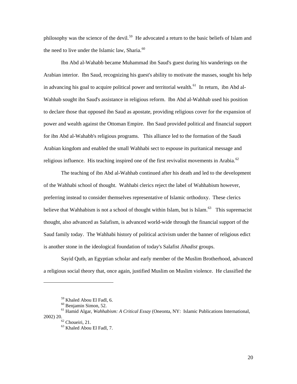philosophy was the science of the devil.<sup>[59](#page-24-0)</sup> He advocated a return to the basic beliefs of Islam and the need to live under the Islamic law, Sharia. $60$ 

Ibn Abd al-Wahabb became Muhammad ibn Saud's guest during his wanderings on the Arabian interior. Ibn Saud, recognizing his guest's ability to motivate the masses, sought his help in advancing his goal to acquire political power and territorial wealth.<sup>[61](#page-24-2)</sup> In return, ibn Abd al-Wahhab sought ibn Saud's assistance in religious reform. Ibn Abd al-Wahhab used his position to declare those that opposed ibn Saud as apostate, providing religious cover for the expansion of power and wealth against the Ottoman Empire. Ibn Saud provided political and financial support for ibn Abd al-Wahabb's religious programs. This alliance led to the formation of the Saudi Arabian kingdom and enabled the small Wahhabi sect to espouse its puritanical message and religious influence. His teaching inspired one of the first revivalist movements in Arabia.<sup>[62](#page-24-3)</sup>

The teaching of ibn Abd al-Wahhab continued after his death and led to the development of the Wahhabi school of thought. Wahhabi clerics reject the label of Wahhabism however, preferring instead to consider themselves representative of Islamic orthodoxy. These clerics believe that Wahhabism is not a school of thought within Islam, but is Islam.<sup>[63](#page-24-4)</sup> This supremacist thought, also advanced as Salafism, is advanced world-wide through the financial support of the Saud family today. The Wahhabi history of political activism under the banner of religious edict is another stone in the ideological foundation of today's Salafist *Jihadist* groups.

Sayid Qutb, an Egyptian scholar and early member of the Muslim Brotherhood, advanced a religious social theory that, once again, justified Muslim on Muslim violence. He classified the

<sup>59</sup> Khaled Abou El Fadl, 6.

<sup>60</sup> Benjamin Simon, 52.

<span id="page-24-4"></span><span id="page-24-3"></span><span id="page-24-2"></span><span id="page-24-1"></span><span id="page-24-0"></span><sup>61</sup> Hamid Algar, *Wahhabism: A Critical Essay* (Oneonta, NY: Islamic Publications International, 2002) 20. 62 Choueiri, 21.

<sup>63</sup> Khaled Abou El Fadl, 7.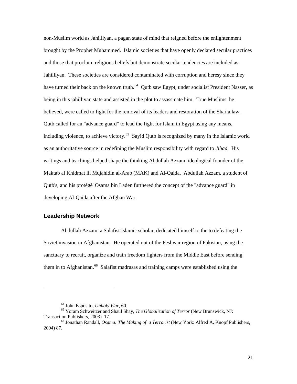<span id="page-25-0"></span>non-Muslim world as Jahilliyan, a pagan state of mind that reigned before the enlightenment brought by the Prophet Muhammed. Islamic societies that have openly declared secular practices and those that proclaim religious beliefs but demonstrate secular tendencies are included as Jahilliyan. These societies are considered contaminated with corruption and heresy since they have turned their back on the known truth.<sup>[64](#page-25-1)</sup> Qutb saw Egypt, under socialist President Nasser, as being in this jahilliyan state and assisted in the plot to assassinate him. True Muslims, he believed, were called to fight for the removal of its leaders and restoration of the Sharia law. Qutb called for an "advance guard" to lead the fight for Islam in Egypt using any means, including violence, to achieve victory.<sup>[65](#page-25-2)</sup> Sayid Qutb is recognized by many in the Islamic world as an authoritative source in redefining the Muslim responsibility with regard to *Jihad*. His writings and teachings helped shape the thinking Abdullah Azzam, ideological founder of the Maktab al Khidmat lil Mujahidin al-Arab (MAK) and Al-Qaida. Abdullah Azzam, a student of Qutb's, and his protégé' Osama bin Laden furthered the concept of the "advance guard" in developing Al-Qaida after the Afghan War.

## **Leadership Network**

l

Abdullah Azzam, a Salafist Islamic scholar, dedicated himself to the to defeating the Soviet invasion in Afghanistan. He operated out of the Peshwar region of Pakistan, using the sanctuary to recruit, organize and train freedom fighters from the Middle East before sending them in to Afghanistan.<sup>[66](#page-25-3)</sup> Salafist madrasas and training camps were established using the

<span id="page-25-2"></span><span id="page-25-1"></span><sup>&</sup>lt;sup>64</sup> John Esposito, *Unholy War*, 60.<br><sup>65</sup> Yoram Schweitzer and Shaul Shay, *The Globalization of Terror* (New Brunswick, NJ: Transaction Publishers, 2003) 17. 66 Jonathan Randall, *Osama: The Making of a Terrorist* (New York: Alfred A. Knopf Publishers,

<span id="page-25-3"></span><sup>2004) 87.</sup>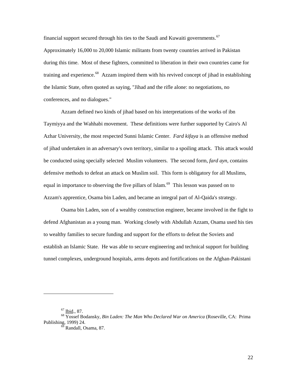financial support secured through his ties to the Saudi and Kuwaiti governments.<sup>[67](#page-26-0)</sup> Approximately 16,000 to 20,000 Islamic militants from twenty countries arrived in Pakistan during this time. Most of these fighters, committed to liberation in their own countries came for training and experience.<sup>[68](#page-26-1)</sup> Azzam inspired them with his revived concept of jihad in establishing the Islamic State, often quoted as saying, "Jihad and the rifle alone: no negotiations, no conferences, and no dialogues."

Azzam defined two kinds of jihad based on his interpretations of the works of ibn Taymiyya and the Wahhabi movement. These definitions were further supported by Cairo's Al Azhar University, the most respected Sunni Islamic Center. *Fard kifaya* is an offensive method of jihad undertaken in an adversary's own territory, similar to a spoiling attack. This attack would be conducted using specially selected Muslim volunteers. The second form, *fard ayn,* contains defensive methods to defeat an attack on Muslim soil. This form is obligatory for all Muslims, equal in importance to observing the five pillars of Islam.<sup>[69](#page-26-2)</sup> This lesson was passed on to Azzam's apprentice, Osama bin Laden, and became an integral part of Al-Qaida's strategy.

Osama bin Laden, son of a wealthy construction engineer, became involved in the fight to defend Afghanistan as a young man. Working closely with Abdullah Azzam, Osama used his ties to wealthy families to secure funding and support for the efforts to defeat the Soviets and establish an Islamic State. He was able to secure engineering and technical support for building tunnel complexes, underground hospitals, arms depots and fortifications on the Afghan-Pakistani

<span id="page-26-2"></span><span id="page-26-1"></span><span id="page-26-0"></span><sup>67</sup> Ibid., 87. 68 Yossef Bodansky, *Bin Laden: The Man Who Declared War on America* (Roseville, CA: Prima Publishing, 1999) 24.<br><sup>69</sup> Randall, Osama, 87.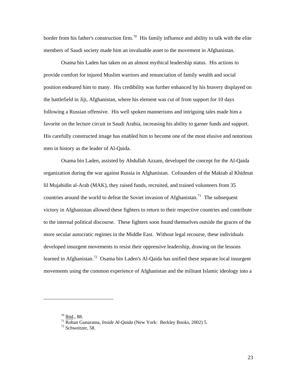border from his father's construction firm.<sup>[70](#page-27-0)</sup> His family influence and ability to talk with the elite members of Saudi society made him an invaluable asset to the movement in Afghanistan.

Osama bin Laden has taken on an almost mythical leadership status. His actions to provide comfort for injured Muslim warriors and renunciation of family wealth and social position endeared him to many. His credibility was further enhanced by his bravery displayed on the battlefield in Jiji, Afghanistan, where his element was cut of from support for 10 days following a Russian offensive. His well spoken mannerisms and intriguing tales made him a favorite on the lecture circuit in Saudi Arabia, increasing his ability to garner funds and support. His carefully constructed image has enabled him to become one of the most elusive and notorious men in history as the leader of Al-Qaida.

Osama bin Laden, assisted by Abdullah Azzam, developed the concept for the Al-Qaida organization during the war against Russia in Afghanistan. Cofounders of the Maktab al Khidmat lil Mujahidin al-Arab (MAK), they raised funds, recruited, and trained volunteers from 35 countries around the world to defeat the Soviet invasion of Afghanistan.<sup>[71](#page-27-1)</sup> The subsequent victory in Afghanistan allowed these fighters to return to their respective countries and contribute to the internal political discourse. These fighters soon found themselves outside the graces of the more secular autocratic regimes in the Middle East. Without legal recourse, these individuals developed insurgent movements to resist their oppressive leadership, drawing on the lessons learned in Afghanistan.<sup>[72](#page-27-2)</sup> Osama bin Laden's Al-Qaida has unified these separate local insurgent movements using the common experience of Afghanistan and the militant Islamic ideology into a

<span id="page-27-1"></span><span id="page-27-0"></span><sup>70</sup> Ibid., 88. 71 Rohan Gunaratna, *Inside Al-Qaida* (New York: Berkley Books, 2002) 5. 72 Schweitzer, 58.

<span id="page-27-2"></span>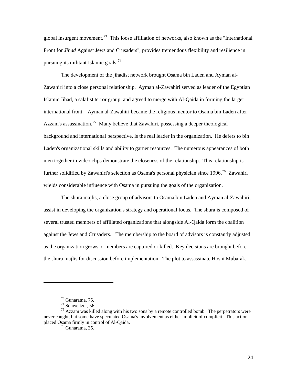global insurgent movement.<sup>[73](#page-28-0)</sup> This loose affiliation of networks, also known as the "International Front for *Jihad* Against Jews and Crusaders", provides tremendous flexibility and resilience in pursuing its militant Islamic goals.<sup>[74](#page-28-1)</sup>

The development of the jihadist network brought Osama bin Laden and Ayman al-Zawahiri into a close personal relationship. Ayman al-Zawahiri served as leader of the Egyptian Islamic Jihad, a salafist terror group, and agreed to merge with Al-Qaida in forming the larger international front. Ayman al-Zawahiri became the religious mentor to Osama bin Laden after Azzam's assassination.<sup>[75](#page-28-2)</sup> Many believe that Zawahiri, possessing a deeper theological background and international perspective, is the real leader in the organization. He defers to bin Laden's organizational skills and ability to garner resources. The numerous appearances of both men together in video clips demonstrate the closeness of the relationship. This relationship is further solidified by Zawahiri's selection as Osama's personal physician since 1996.<sup>[76](#page-28-3)</sup> Zawahiri wields considerable influence with Osama in pursuing the goals of the organization.

The shura majlis, a close group of advisors to Osama bin Laden and Ayman al-Zawahiri, assist in developing the organization's strategy and operational focus. The shura is composed of several trusted members of affiliated organizations that alongside Al-Qaida form the coalition against the Jews and Crusaders. The membership to the board of advisors is constantly adjusted as the organization grows or members are captured or killed. Key decisions are brought before the shura majlis for discussion before implementation. The plot to assassinate Hosni Mubarak,

 $73$  Gunaratna, 75.

<sup>74</sup> Schweitzer, 56.

<span id="page-28-3"></span><span id="page-28-2"></span><span id="page-28-1"></span><span id="page-28-0"></span><sup>&</sup>lt;sup>75</sup> Azzam was killed along with his two sons by a remote controlled bomb. The perpetrators were never caught, but some have speculated Osama's involvement as either implicit of complicit. This action placed Osama firmly in control of Al-Qaida. 76 Gunaratna, 35*.*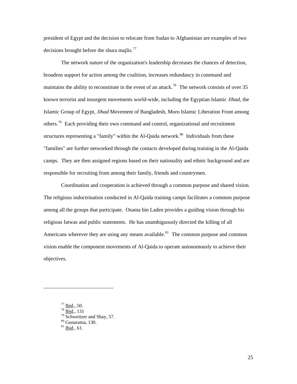president of Egypt and the decision to relocate from Sudan to Afghanistan are examples of two decisions brought before the shura majlis. $^{77}$  $^{77}$  $^{77}$ 

The network nature of the organization's leadership decreases the chances of detection, broadens support for action among the coalition, increases redundancy in command and maintains the ability to reconstitute in the event of an attack.<sup>[78](#page-29-1)</sup> The network consists of over 35 known terrorist and insurgent movements world-wide, including the Egyptian Islamic *Jihad*, the Islamic Group of Egypt, *Jihad* Movement of Bangladesh, Moro Islamic Liberation Front among others.<sup>[79](#page-29-2)</sup> Each providing their own command and control, organizational and recruitment structures representing a "family" within the Al-Qaida network.<sup>[80](#page-29-3)</sup> Individuals from these "families" are further networked through the contacts developed during training in the Al-Qaida camps. They are then assigned regions based on their nationality and ethnic background and are responsible for recruiting from among their family, friends and countrymen.

Coordination and cooperation is achieved through a common purpose and shared vision. The religious indoctrination conducted in Al-Qaida training camps facilitates a common purpose among all the groups that participate. Osama bin Laden provides a guiding vision through his religious fatwas and public statements. He has unambiguously directed the killing of all Americans wherever they are using any means available.<sup>[81](#page-29-4)</sup> The common purpose and common vision enable the component movements of Al-Qaida to operate autonomously to achieve their objectives.

<span id="page-29-0"></span><sup>&</sup>lt;sup>77</sup> <u>Ibid</u>., 50.<br><sup>78</sup> <u>Ibid</u>., 131<br><sup>79</sup> Schweitzer and Shay, 57.

<span id="page-29-4"></span><span id="page-29-3"></span><span id="page-29-2"></span><span id="page-29-1"></span><sup>80</sup> Gunaratna, 130.

<sup>81</sup> Ibid., 61.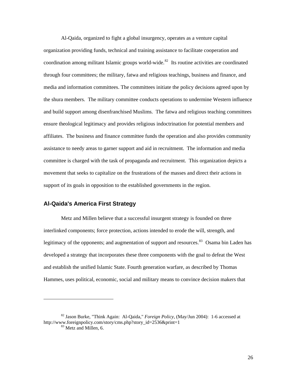<span id="page-30-0"></span>Al-Qaida, organized to fight a global insurgency, operates as a venture capital organization providing funds, technical and training assistance to facilitate cooperation and coordination among militant Islamic groups world-wide.<sup>[82](#page-30-1)</sup> Its routine activities are coordinated through four committees; the military, fatwa and religious teachings, business and finance, and media and information committees. The committees initiate the policy decisions agreed upon by the shura members. The military committee conducts operations to undermine Western influence and build support among disenfranchised Muslims. The fatwa and religious teaching committees ensure theological legitimacy and provides religious indoctrination for potential members and affiliates. The business and finance committee funds the operation and also provides community assistance to needy areas to garner support and aid in recruitment. The information and media committee is charged with the task of propaganda and recruitment. This organization depicts a movement that seeks to capitalize on the frustrations of the masses and direct their actions in support of its goals in opposition to the established governments in the region.

### **Al-Qaida's America First Strategy**

l

Metz and Millen believe that a successful insurgent strategy is founded on three interlinked components; force protection, actions intended to erode the will, strength, and legitimacy of the opponents; and augmentation of support and resources.<sup>[83](#page-30-2)</sup> Osama bin Laden has developed a strategy that incorporates these three components with the goal to defeat the West and establish the unified Islamic State. Fourth generation warfare, as described by Thomas Hammes, uses political, economic, social and military means to convince decision makers that

<span id="page-30-2"></span><span id="page-30-1"></span><sup>82</sup> Jason Burke, "Think Again: Al-Qaida*,*" *Foreign Policy*, (May/Jun 2004): 1-6 accessed at http://www.foreignpolicy.com/story/cms.php?story\_id=2536&print=1 83 Metz and Millen, 6.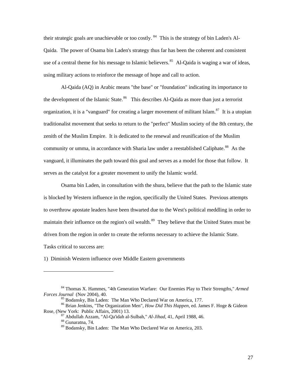their strategic goals are unachievable or too costly.  $84$  This is the strategy of bin Laden's Al-Qaida. The power of Osama bin Laden's strategy thus far has been the coherent and consistent use of a central theme for his message to Islamic believers.<sup>[85](#page-31-1)</sup> Al-Qaida is waging a war of ideas, using military actions to reinforce the message of hope and call to action.

Al-Qaida (AQ) in Arabic means "the base" or "foundation" indicating its importance to the development of the Islamic State.<sup>[86](#page-31-2)</sup> This describes Al-Qaida as more than just a terrorist organization, it is a "vanguard" for creating a larger movement of militant Islam.<sup>[87](#page-31-3)</sup> It is a utopian traditionalist movement that seeks to return to the "perfect" Muslim society of the 8th century, the zenith of the Muslim Empire. It is dedicated to the renewal and reunification of the Muslim community or umma, in accordance with Sharia law under a reestablished Caliphate.<sup>[88](#page-31-4)</sup> As the vanguard, it illuminates the path toward this goal and serves as a model for those that follow. It serves as the catalyst for a greater movement to unify the Islamic world.

Osama bin Laden, in consultation with the shura, believe that the path to the Islamic state is blocked by Western influence in the region, specifically the United States. Previous attempts to overthrow apostate leaders have been thwarted due to the West's political meddling in order to maintain their influence on the region's oil wealth.<sup>[89](#page-31-5)</sup> They believe that the United States must be driven from the region in order to create the reforms necessary to achieve the Islamic State. Tasks critical to success are:

1) Diminish Western influence over Middle Eastern governments

<span id="page-31-0"></span><sup>84</sup> Thomas X. Hammes, "4th Generation Warfare: Our Enemies Play to Their Strengths," *Armed Forces Journal* (Nov 2004), 40.<br><sup>85</sup> Bodansky, Bin Laden: The Man Who Declared War on America, 177.

<span id="page-31-5"></span><span id="page-31-4"></span><span id="page-31-3"></span><span id="page-31-2"></span><span id="page-31-1"></span><sup>86</sup> Brian Jenkins, "The Organization Men", *How Did This Happen*, ed. James F. Hoge & Gideon

<sup>&</sup>lt;sup>87</sup> Abdullah Azzam, "Al-Qa'idah al-Sulbah," *Al-Jihad*, 41, April 1988, 46. <sup>88</sup> Gunaratna, 74.

<sup>89</sup> Bodansky, Bin Laden: The Man Who Declared War on America, 203.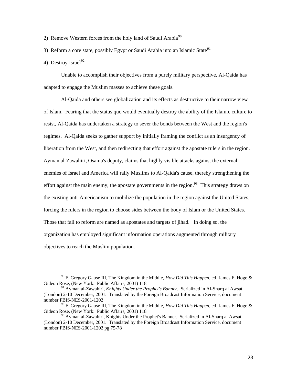- 2) Remove Western forces from the holy land of Saudi Arabia<sup>[90](#page-32-0)</sup>
- 3) Reform a core state, possibly Egypt or Saudi Arabia into an Islamic State<sup>[91](#page-32-1)</sup>
- 4) Destroy Israel<sup>[92](#page-32-2)</sup>

l

Unable to accomplish their objectives from a purely military perspective, Al-Qaida has adapted to engage the Muslim masses to achieve these goals.

Al-Qaida and others see globalization and its effects as destructive to their narrow view of Islam. Fearing that the status quo would eventually destroy the ability of the Islamic culture to resist, Al-Qaida has undertaken a strategy to sever the bonds between the West and the region's regimes. Al-Qaida seeks to gather support by initially framing the conflict as an insurgency of liberation from the West, and then redirecting that effort against the apostate rulers in the region. Ayman al-Zawahiri, Osama's deputy, claims that highly visible attacks against the external enemies of Israel and America will rally Muslims to Al-Qaida's cause, thereby strengthening the effort against the main enemy, the apostate governments in the region.<sup>[93](#page-32-3)</sup> This strategy draws on the existing anti-Americanism to mobilize the population in the region against the United States, forcing the rulers in the region to choose sides between the body of Islam or the United States. Those that fail to reform are named as apostates and targets of jihad. In doing so, the organization has employed significant information operations augmented through military objectives to reach the Muslim population.

<span id="page-32-0"></span><sup>90</sup> F. Gregory Gause III, The Kingdom in the Middle, *How Did This Happen*, ed. James F. Hoge & Gideon Rose, (New York: Public Affairs, 2001) 118

<span id="page-32-1"></span><sup>91</sup> Ayman al-Zawahiri, *Knights Under the Prophet's Banner*. Serialized in Al-Sharq al Awsat (London) 2-10 December, 2001. Translated by the Foreign Broadcast Information Service, document number FBIS-NES-2001-1202

<span id="page-32-2"></span><sup>92</sup> F. Gregory Gause III, The Kingdom in the Middle, *How Did This Happen*, ed. James F. Hoge & Gideon Rose, (New York: Public Affairs, 2001) 118

<span id="page-32-3"></span><sup>&</sup>lt;sup>93</sup> Ayman al-Zawahiri, Knights Under the Prophet's Banner. Serialized in Al-Sharq al Awsat (London) 2-10 December, 2001. Translated by the Foreign Broadcast Information Service, document number FBIS-NES-2001-1202 pg 75-78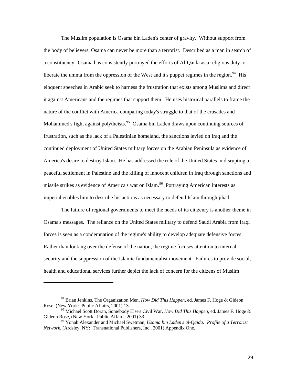The Muslim population is Osama bin Laden's center of gravity. Without support from the body of believers, Osama can never be more than a terrorist. Described as a man in search of a constituency, Osama has consistently portrayed the efforts of Al-Qaida as a religious duty to liberate the umma from the oppression of the West and it's puppet regimes in the region.<sup>[94](#page-33-0)</sup> His eloquent speeches in Arabic seek to harness the frustration that exists among Muslims and direct it against Americans and the regimes that support them. He uses historical parallels to frame the nature of the conflict with America comparing today's struggle to that of the crusades and Mohammed's fight against polytheists.<sup>[95](#page-33-1)</sup> Osama bin Laden draws upon continuing sources of frustration, such as the lack of a Palestinian homeland, the sanctions levied on Iraq and the continued deployment of United States military forces on the Arabian Peninsula as evidence of America's desire to destroy Islam. He has addressed the role of the United States in disrupting a peaceful settlement in Palestine and the killing of innocent children in Iraq through sanctions and missile strikes as evidence of America's war on Islam.<sup>[96](#page-33-2)</sup> Portraying American interests as imperial enables him to describe his actions as necessary to defend Islam through jihad.

The failure of regional governments to meet the needs of its citizenry is another theme in Osama's messages. The reliance on the United States military to defend Saudi Arabia from Iraqi forces is seen as a condemnation of the regime's ability to develop adequate defensive forces. Rather than looking over the defense of the nation, the regime focuses attention to internal security and the suppression of the Islamic fundamentalist movement. Failures to provide social, health and educational services further depict the lack of concern for the citizens of Muslim

<span id="page-33-0"></span><sup>94</sup> Brian Jenkins, The Organization Men, *How Did This Happen*, ed. James F. Hoge & Gideon Rose, (New York: Public Affairs, 2001) 13

<span id="page-33-1"></span><sup>95</sup> Michael Scott Doran, Somebody Else's Civil War, *How Did This Happen*, ed. James F. Hoge & Gideon Rose, (New York: Public Affairs, 2001) 33<br><sup>96</sup> Yonah Alexander and Michael Swetman, *Usama bin Laden's al-Qaida: Profile of a Terrorist* 

<span id="page-33-2"></span>*Network*, (Ardsley, NY: Transnational Publishers, Inc., 2001) Appendix One.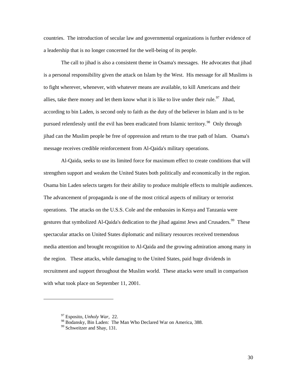countries. The introduction of secular law and governmental organizations is further evidence of a leadership that is no longer concerned for the well-being of its people.

The call to jihad is also a consistent theme in Osama's messages. He advocates that jihad is a personal responsibility given the attack on Islam by the West. His message for all Muslims is to fight wherever, whenever, with whatever means are available, to kill Americans and their allies, take there money and let them know what it is like to live under their rule.<sup>[97](#page-34-0)</sup> Jihad, according to bin Laden, is second only to faith as the duty of the believer in Islam and is to be pursued relentlessly until the evil has been eradicated from Islamic territory.<sup>[98](#page-34-1)</sup> Only through jihad can the Muslim people be free of oppression and return to the true path of Islam. Osama's message receives credible reinforcement from Al-Qaida's military operations.

Al-Qaida, seeks to use its limited force for maximum effect to create conditions that will strengthen support and weaken the United States both politically and economically in the region. Osama bin Laden selects targets for their ability to produce multiple effects to multiple audiences. The advancement of propaganda is one of the most critical aspects of military or terrorist operations. The attacks on the U.S.S. Cole and the embassies in Kenya and Tanzania were gestures that symbolized Al-Qaida's dedication to the jihad against Jews and Crusaders.<sup>[99](#page-34-2)</sup> These spectacular attacks on United States diplomatic and military resources received tremendous media attention and brought recognition to Al-Qaida and the growing admiration among many in the region. These attacks, while damaging to the United States, paid huge dividends in recruitment and support throughout the Muslim world. These attacks were small in comparison with what took place on September 11, 2001.

<span id="page-34-0"></span><sup>97</sup> Esposito, *Unholy War*, 22.

<span id="page-34-1"></span><sup>98</sup> Bodansky, Bin Laden: The Man Who Declared War on America, 388.

<span id="page-34-2"></span><sup>&</sup>lt;sup>99</sup> Schweitzer and Shay, 131.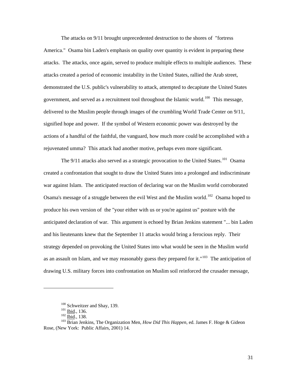The attacks on 9/11 brought unprecedented destruction to the shores of "fortress America." Osama bin Laden's emphasis on quality over quantity is evident in preparing these attacks. The attacks, once again, served to produce multiple effects to multiple audiences. These attacks created a period of economic instability in the United States, rallied the Arab street, demonstrated the U.S. public's vulnerability to attack, attempted to decapitate the United States government, and served as a recruitment tool throughout the Islamic world.<sup>[100](#page-35-0)</sup> This message, delivered to the Muslim people through images of the crumbling World Trade Center on 9/11, signified hope and power. If the symbol of Western economic power was destroyed by the actions of a handful of the faithful, the vanguard, how much more could be accomplished with a rejuvenated umma? This attack had another motive, perhaps even more significant.

The  $9/11$  attacks also served as a strategic provocation to the United States.<sup>[101](#page-35-1)</sup> Osama created a confrontation that sought to draw the United States into a prolonged and indiscriminate war against Islam. The anticipated reaction of declaring war on the Muslim world corroborated Osama's message of a struggle between the evil West and the Muslim world.<sup>[102](#page-35-2)</sup> Osama hoped to produce his own version of the "your either with us or you're against us" posture with the anticipated declaration of war. This argument is echoed by Brian Jenkins statement "... bin Laden and his lieutenants knew that the September 11 attacks would bring a ferocious reply. Their strategy depended on provoking the United States into what would be seen in the Muslim world as an assault on Islam, and we may reasonably guess they prepared for it."<sup>[103](#page-35-3)</sup> The anticipation of drawing U.S. military forces into confrontation on Muslim soil reinforced the crusader message,

-

<span id="page-35-3"></span><span id="page-35-2"></span><span id="page-35-1"></span><span id="page-35-0"></span><sup>&</sup>lt;sup>100</sup> Schweitzer and Shay, 139.<br><sup>101</sup> <u>Ibid</u>., 136.<br><sup>103</sup> <u>Ibid.</u>, 138.<br><sup>103</sup> Brian Jenkins, The Organization Men, *How Did This Happen*, ed. James F. Hoge & Gideon Rose, (New York: Public Affairs, 2001) 14.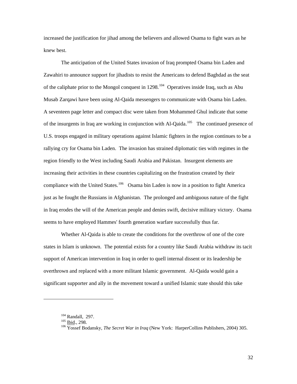increased the justification for jihad among the believers and allowed Osama to fight wars as he knew best.

The anticipation of the United States invasion of Iraq prompted Osama bin Laden and Zawahiri to announce support for jihadists to resist the Americans to defend Baghdad as the seat of the caliphate prior to the Mongol conquest in 1298.<sup>[104](#page-36-0)</sup> Operatives inside Iraq, such as Abu Musab Zarqawi have been using Al-Qaida messengers to communicate with Osama bin Laden. A seventeen page letter and compact disc were taken from Mohammed Ghul indicate that some of the insurgents in Iraq are working in conjunction with Al-Qaida.<sup>[105](#page-36-1)</sup> The continued presence of U.S. troops engaged in military operations against Islamic fighters in the region continues to be a rallying cry for Osama bin Laden. The invasion has strained diplomatic ties with regimes in the region friendly to the West including Saudi Arabia and Pakistan. Insurgent elements are increasing their activities in these countries capitalizing on the frustration created by their compliance with the United States.<sup>[106](#page-36-2)</sup> Osama bin Laden is now in a position to fight America just as he fought the Russians in Afghanistan. The prolonged and ambiguous nature of the fight in Iraq erodes the will of the American people and denies swift, decisive military victory. Osama seems to have employed Hammes' fourth generation warfare successfully thus far.

Whether Al-Qaida is able to create the conditions for the overthrow of one of the core states in Islam is unknown. The potential exists for a country like Saudi Arabia withdraw its tacit support of American intervention in Iraq in order to quell internal dissent or its leadership be overthrown and replaced with a more militant Islamic government. Al-Qaida would gain a significant supporter and ally in the movement toward a unified Islamic state should this take

<span id="page-36-2"></span><span id="page-36-1"></span>

<span id="page-36-0"></span><sup>&</sup>lt;sup>104</sup> Randall, 297.<br><sup>105</sup> <u>Ibid</u>., 298.<br><sup>106</sup> Yossef Bodansky, *The Secret War in Iraq* (New York: HarperCollins Publishers, 2004) 305.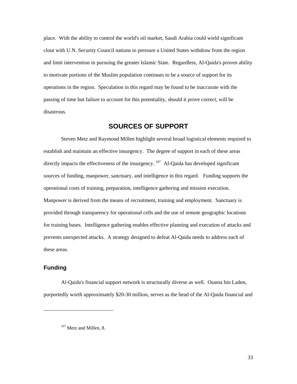<span id="page-37-0"></span>place. With the ability to control the world's oil market, Saudi Arabia could wield significant clout with U.N. Security Council nations to pressure a United States withdraw from the region and limit intervention in pursuing the greater Islamic State. Regardless, Al-Qaida's proven ability to motivate portions of the Muslim population continues to be a source of support for its operations in the region. Speculation in this regard may be found to be inaccurate with the passing of time but failure to account for this potentiality, should it prove correct, will be disastrous.

## **SOURCES OF SUPPORT**

Steven Metz and Raymond Millen highlight several broad logistical elements required to establish and maintain an effective insurgency. The degree of support in each of these areas directly impacts the effectiveness of the insurgency.  $107$  Al-Qaida has developed significant sources of funding, manpower, sanctuary, and intelligence in this regard. Funding supports the operational costs of training, preparation, intelligence gathering and mission execution. Manpower is derived from the means of recruitment, training and employment. Sanctuary is provided through transparency for operational cells and the use of remote geographic locations for training bases. Intelligence gathering enables effective planning and execution of attacks and prevents unexpected attacks. A strategy designed to defeat Al-Qaida needs to address each of these areas.

### **Funding**

<span id="page-37-1"></span>1

Al-Qaida's financial support network is structurally diverse as well. Osama bin Laden, purportedly worth approximately \$20-30 million, serves as the head of the Al-Qaida financial and

<sup>&</sup>lt;sup>107</sup> Metz and Millen, 8.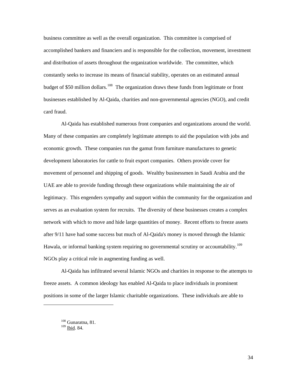business committee as well as the overall organization. This committee is comprised of accomplished bankers and financiers and is responsible for the collection, movement, investment and distribution of assets throughout the organization worldwide. The committee, which constantly seeks to increase its means of financial stability, operates on an estimated annual budget of \$50 million dollars.<sup>[108](#page-38-0)</sup> The organization draws these funds from legitimate or front businesses established by Al-Qaida, charities and non-governmental agencies (NGO), and credit card fraud.

Al-Qaida has established numerous front companies and organizations around the world. Many of these companies are completely legitimate attempts to aid the population with jobs and economic growth. These companies run the gamut from furniture manufactures to genetic development laboratories for cattle to fruit export companies. Others provide cover for movement of personnel and shipping of goods. Wealthy businessmen in Saudi Arabia and the UAE are able to provide funding through these organizations while maintaining the air of legitimacy. This engenders sympathy and support within the community for the organization and serves as an evaluation system for recruits. The diversity of these businesses creates a complex network with which to move and hide large quantities of money. Recent efforts to freeze assets after 9/11 have had some success but much of Al-Qaida's money is moved through the Islamic Hawala, or informal banking system requiring no governmental scrutiny or accountability.<sup>[109](#page-38-1)</sup> NGOs play a critical role in augmenting funding as well.

Al-Qaida has infiltrated several Islamic NGOs and charities in response to the attempts to freeze assets. A common ideology has enabled Al-Qaida to place individuals in prominent positions in some of the larger Islamic charitable organizations. These individuals are able to

<span id="page-38-1"></span><span id="page-38-0"></span>-

<sup>108</sup> Gunaratna, 81.

<sup>109</sup> Ibid. 84.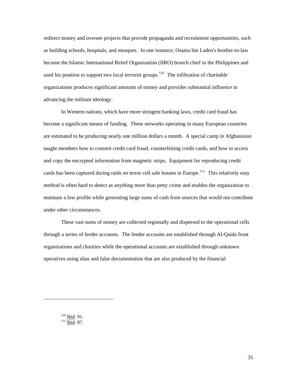redirect money and oversee projects that provide propaganda and recruitment opportunities, such as building schools, hospitals, and mosques. In one instance, Osama bin Laden's brother-in-law became the Islamic International Relief Organization (IIRO) branch chief in the Philippines and used his position to support two local terrorist groups.<sup>[110](#page-39-0)</sup> The infiltration of charitable organizations produces significant amounts of money and provides substantial influence in advancing the militant ideology.

In Western nations, which have more stringent banking laws, credit card fraud has become a significant means of funding. These networks operating in many European countries are estimated to be producing nearly one million dollars a month. A special camp in Afghanistan taught members how to commit credit card fraud, counterfeiting credit cards, and how to access and copy the encrypted information from magnetic strips. Equipment for reproducing credit cards has been captured during raids on terror cell safe houses in Europe.<sup>[111](#page-39-1)</sup> This relatively easy method is often hard to detect as anything more than petty crime and enables the organization to maintain a low profile while generating large sums of cash from sources that would not contribute under other circumstances.

These vast sums of money are collected regionally and dispersed to the operational cells through a series of feeder accounts. The feeder accounts are established through Al-Qaida front organizations and charities while the operational accounts are established through unknown operatives using alias and false documentation that are also produced by the financial

<span id="page-39-1"></span><span id="page-39-0"></span> $\frac{110}{111}$  <u>Ibid</u>. 91.<br> $\frac{1}{111}$  <u>Ibid</u>. 87.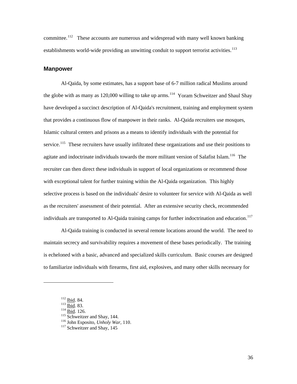<span id="page-40-0"></span>committee.<sup>[112](#page-40-1)</sup> These accounts are numerous and widespread with many well known banking establishments world-wide providing an unwitting conduit to support terrorist activities.<sup>[113](#page-40-2)</sup>

#### **Manpower**

Al-Qaida, by some estimates, has a support base of 6-7 million radical Muslims around the globe with as many as 120,000 willing to take up arms.<sup>[114](#page-40-3)</sup> Yoram Schweitzer and Shaul Shay have developed a succinct description of Al-Qaida's recruitment, training and employment system that provides a continuous flow of manpower in their ranks. Al-Qaida recruiters use mosques, Islamic cultural centers and prisons as a means to identify individuals with the potential for service.<sup>[115](#page-40-4)</sup> These recruiters have usually infiltrated these organizations and use their positions to agitate and indoctrinate individuals towards the more militant version of Salafist Islam.<sup>[116](#page-40-5)</sup> The recruiter can then direct these individuals in support of local organizations or recommend those with exceptional talent for further training within the Al-Qaida organization. This highly selective process is based on the individuals' desire to volunteer for service with Al-Qaida as well as the recruiters' assessment of their potential. After an extensive security check, recommended individuals are transported to Al-Qaida training camps for further indoctrination and education.<sup>[117](#page-40-6)</sup>

Al-Qaida training is conducted in several remote locations around the world. The need to maintain secrecy and survivability requires a movement of these bases periodically. The training is echeloned with a basic, advanced and specialized skills curriculum. Basic courses are designed to familiarize individuals with firearms, first aid, explosives, and many other skills necessary for

<span id="page-40-3"></span><span id="page-40-2"></span>

<span id="page-40-4"></span>

<span id="page-40-6"></span><span id="page-40-5"></span>

<span id="page-40-1"></span><sup>&</sup>lt;sup>112</sup> Ibid. 84.<br><sup>113</sup> Ibid. 83.<br><sup>114</sup> Ibid. 126.<br><sup>115</sup> Schweitzer and Shay, 144.<br><sup>116</sup> John Esposito, *Unholy War*, 110.<br><sup>117</sup> Schweitzer and Shay. 145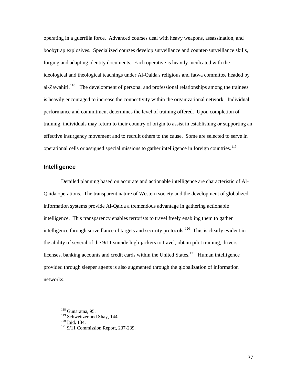<span id="page-41-0"></span>operating in a guerrilla force. Advanced courses deal with heavy weapons, assassination, and boobytrap explosives. Specialized courses develop surveillance and counter-surveillance skills, forging and adapting identity documents. Each operative is heavily inculcated with the ideological and theological teachings under Al-Qaida's religious and fatwa committee headed by al-Zawahiri.<sup>[118](#page-41-1)</sup> The development of personal and professional relationships among the trainees is heavily encouraged to increase the connectivity within the organizational network. Individual performance and commitment determines the level of training offered. Upon completion of training, individuals may return to their country of origin to assist in establishing or supporting an effective insurgency movement and to recruit others to the cause. Some are selected to serve in operational cells or assigned special missions to gather intelligence in foreign countries.<sup>[119](#page-41-2)</sup>

#### **Intelligence**

Detailed planning based on accurate and actionable intelligence are characteristic of Al-Qaida operations. The transparent nature of Western society and the development of globalized information systems provide Al-Qaida a tremendous advantage in gathering actionable intelligence. This transparency enables terrorists to travel freely enabling them to gather intelligence through surveillance of targets and security protocols.<sup>[120](#page-41-3)</sup> This is clearly evident in the ability of several of the 9/11 suicide high-jackers to travel, obtain pilot training, drivers licenses, banking accounts and credit cards within the United States.<sup>[121](#page-41-4)</sup> Human intelligence provided through sleeper agents is also augmented through the globalization of information networks.

 $118$  Gunaratna, 95.

<span id="page-41-4"></span><span id="page-41-3"></span><span id="page-41-2"></span>

<span id="page-41-1"></span><sup>&</sup>lt;sup>119</sup> Schweitzer and Shay, 144<br><sup>120</sup> <u>Ibid.</u> 134.<br><sup>121</sup> 9/11 Commission Report, 237-239.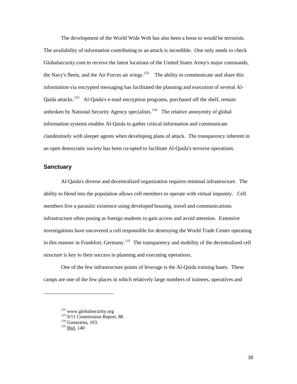<span id="page-42-0"></span>The development of the World Wide Web has also been a boon to would be terrorists. The availability of information contributing to an attack is incredible. One only needs to check Globalsecurity.com to receive the latest locations of the United States Army's major commands, the Navy's fleets, and the Air Forces air wings.<sup>[122](#page-42-1)</sup> The ability to communicate and share this information via encrypted messaging has facilitated the planning and execution of several Al-Qaida attacks.<sup>[123](#page-42-2)</sup> Al-Qaida's e-mail encryption programs, purchased off the shelf, remain unbroken by National Security Agency specialists.<sup>[124](#page-42-3)</sup> The relative anonymity of global information systems enables Al-Qaida to gather critical information and communicate clandestinely with sleeper agents when developing plans of attack. The transparency inherent in an open democratic society has been co-opted to facilitate Al-Qaida's terrorist operations.

#### **Sanctuary**

Al-Qaida's diverse and decentralized organization requires minimal infrastructure. The ability to blend into the population allows cell members to operate with virtual impunity. Cell members live a parasitic existence using developed housing, travel and communications infrastructure often posing as foreign students to gain access and avoid attention. Extensive investigations have uncovered a cell responsible for destroying the World Trade Center operating in this manner in Frankfort, Germany.<sup>[125](#page-42-4)</sup> The transparency and mobility of the decentralized cell structure is key to their success in planning and executing operations.

One of the few infrastructure points of leverage is the Al-Qaida training bases. These camps are one of the few places in which relatively large numbers of trainees, operatives and

<span id="page-42-1"></span><sup>&</sup>lt;sup>122</sup> www.globalsecurity.org<br><sup>123</sup> 9/11 Commission Report, 88.<br><sup>124</sup> Gunaratna, 103.<br><sup>125</sup> Ibid. 140

<span id="page-42-4"></span><span id="page-42-3"></span><span id="page-42-2"></span>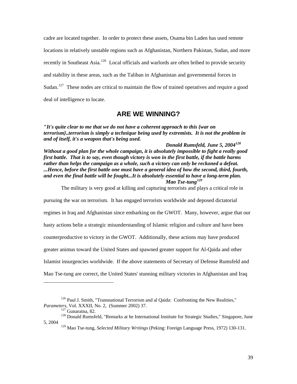<span id="page-43-0"></span>cadre are located together. In order to protect these assets, Osama bin Laden has used remote locations in relatively unstable regions such as Afghanistan, Northern Pakistan, Sudan, and more recently in Southeast Asia.<sup>[126](#page-43-1)</sup> Local officials and warlords are often bribed to provide security and stability in these areas, such as the Taliban in Afghanistan and governmental forces in Sudan.<sup>[127](#page-43-2)</sup> These nodes are critical to maintain the flow of trained operatives and require a good deal of intelligence to locate.

## **ARE WE WINNING?**

**"***It's quite clear to me that we do not have a coherent approach to this {war on terrorism}..terrorism is simply a technique being used by extremists. It is not the problem in and of itself, it's a weapon that's being used.* 

 *Donald Rumsfeld, June 5, 2004[128](#page-43-3) Without a good plan for the whole campaign, it is absolutely impossible to fight a really good first battle. That is to say, even though victory is won in the first battle, if the battle harms rather than helps the campaign as a whole, such a victory can only be reckoned a defeat. ...Hence, before the first battle one must have a general idea of how the second, third, fourth, and even the final battle will be fought...It is absolutely essential to have a long-term plan. Mao Tse-tung[129](#page-43-4)*

The military is very good at killing and capturing terrorists and plays a critical role in

pursuing the war on terrorism. It has engaged terrorists worldwide and deposed dictatorial

regimes in Iraq and Afghanistan since embarking on the GWOT. Many, however, argue that our

hasty actions belie a strategic misunderstanding of Islamic religion and culture and have been

counterproductive to victory in the GWOT. Additionally, these actions may have produced

greater animus toward the United States and spawned greater support for Al-Qaida and other

Islamist insurgencies worldwide. If the above statements of Secretary of Defense Rumsfeld and

Mao Tse-tung are correct, the United States' stunning military victories in Afghanistan and Iraq

<span id="page-43-1"></span><sup>&</sup>lt;sup>126</sup> Paul J. Smith, "Transnational Terrorism and al Qaida: Confronting the New Realities,"<br>*Parameters*, Vol. XXXII, No. 2, (Summer 2002) 37.<br><sup>127</sup> Gunaratna, 82.

<span id="page-43-4"></span><span id="page-43-3"></span><span id="page-43-2"></span><sup>&</sup>lt;sup>128</sup> Donald Rumsfeld, "Remarks at he International Institute for Strategic Studies," Singapore, June 5, 2004

<sup>129</sup> Mao Tse-tung, *Selected Military Writings* (Peking: Foreign Language Press, 1972) 130-131.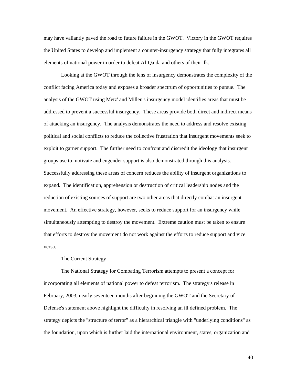<span id="page-44-0"></span>may have valiantly paved the road to future failure in the GWOT. Victory in the GWOT requires the United States to develop and implement a counter-insurgency strategy that fully integrates all elements of national power in order to defeat Al-Qaida and others of their ilk.

Looking at the GWOT through the lens of insurgency demonstrates the complexity of the conflict facing America today and exposes a broader spectrum of opportunities to pursue. The analysis of the GWOT using Metz' and Millen's insurgency model identifies areas that must be addressed to prevent a successful insurgency. These areas provide both direct and indirect means of attacking an insurgency. The analysis demonstrates the need to address and resolve existing political and social conflicts to reduce the collective frustration that insurgent movements seek to exploit to garner support. The further need to confront and discredit the ideology that insurgent groups use to motivate and engender support is also demonstrated through this analysis. Successfully addressing these areas of concern reduces the ability of insurgent organizations to expand. The identification, apprehension or destruction of critical leadership nodes and the reduction of existing sources of support are two other areas that directly combat an insurgent movement. An effective strategy, however, seeks to reduce support for an insurgency while simultaneously attempting to destroy the movement. Extreme caution must be taken to ensure that efforts to destroy the movement do not work against the efforts to reduce support and vice versa.

#### The Current Strategy

The National Strategy for Combating Terrorism attempts to present a concept for incorporating all elements of national power to defeat terrorism. The strategy's release in February, 2003, nearly seventeen months after beginning the GWOT and the Secretary of Defense's statement above highlight the difficulty in resolving an ill defined problem. The strategy depicts the "structure of terror" as a hierarchical triangle with "underlying conditions" as the foundation, upon which is further laid the international environment, states, organization and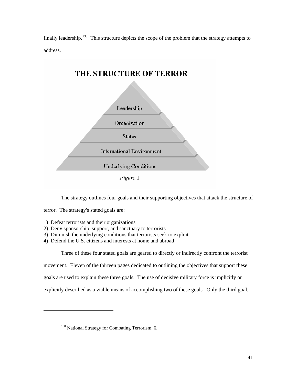finally leadership.<sup>[130](#page-45-0)</sup> This structure depicts the scope of the problem that the strategy attempts to address.



The strategy outlines four goals and their supporting objectives that attack the structure of

terror. The strategy's stated goals are:

<span id="page-45-0"></span>l

- 1) Defeat terrorists and their organizations
- 2) Deny sponsorship, support, and sanctuary to terrorists
- 3) Diminish the underlying conditions that terrorists seek to exploit
- 4) Defend the U.S. citizens and interests at home and abroad

Three of these four stated goals are geared to directly or indirectly confront the terrorist

movement. Eleven of the thirteen pages dedicated to outlining the objectives that support these

goals are used to explain these three goals. The use of decisive military force is implicitly or

explicitly described as a viable means of accomplishing two of these goals. Only the third goal,

<sup>&</sup>lt;sup>130</sup> National Strategy for Combating Terrorism, 6.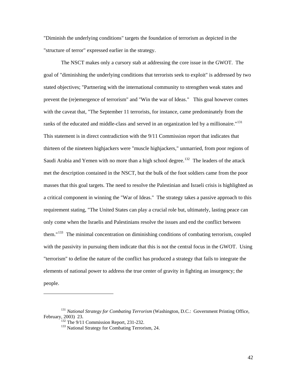"Diminish the underlying conditions" targets the foundation of terrorism as depicted in the "structure of terror" expressed earlier in the strategy.

The NSCT makes only a cursory stab at addressing the core issue in the GWOT. The goal of "diminishing the underlying conditions that terrorists seek to exploit" is addressed by two stated objectives; "Partnering with the international community to strengthen weak states and prevent the (re)emergence of terrorism" and "Win the war of Ideas." This goal however comes with the caveat that, "The September 11 terrorists, for instance, came predominately from the ranks of the educated and middle-class and served in an organization led by a millionaire."<sup>[131](#page-46-0)</sup> This statement is in direct contradiction with the 9/11 Commission report that indicates that thirteen of the nineteen highjackers were "muscle highjackers," unmarried, from poor regions of Saudi Arabia and Yemen with no more than a high school degree.<sup>[132](#page-46-1)</sup> The leaders of the attack met the description contained in the NSCT, but the bulk of the foot soldiers came from the poor masses that this goal targets. The need to resolve the Palestinian and Israeli crisis is highlighted as a critical component in winning the "War of Ideas." The strategy takes a passive approach to this requirement stating, "The United States can play a crucial role but, ultimately, lasting peace can only come when the Israelis and Palestinians resolve the issues and end the conflict between them."<sup>[133](#page-46-2)</sup> The minimal concentration on diminishing conditions of combating terrorism, coupled with the passivity in pursuing them indicate that this is not the central focus in the GWOT. Using "terrorism" to define the nature of the conflict has produced a strategy that fails to integrate the elements of national power to address the true center of gravity in fighting an insurgency; the people.

<span id="page-46-2"></span><span id="page-46-1"></span><span id="page-46-0"></span><sup>&</sup>lt;sup>131</sup> *National Strategy for Combating Terrorism* (Washington, D.C.: Government Printing Office, February, 2003) 23.<br><sup>132</sup> The 9/11 Commission Report, 231-232.<br><sup>133</sup> National Strategy for Combating Terrorism, 24.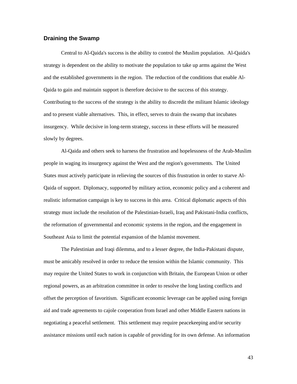#### <span id="page-47-0"></span>**Draining the Swamp**

Central to Al-Qaida's success is the ability to control the Muslim population. Al-Qaida's strategy is dependent on the ability to motivate the population to take up arms against the West and the established governments in the region. The reduction of the conditions that enable Al-Qaida to gain and maintain support is therefore decisive to the success of this strategy. Contributing to the success of the strategy is the ability to discredit the militant Islamic ideology and to present viable alternatives. This, in effect, serves to drain the swamp that incubates insurgency. While decisive in long-term strategy, success in these efforts will be measured slowly by degrees.

Al-Qaida and others seek to harness the frustration and hopelessness of the Arab-Muslim people in waging its insurgency against the West and the region's governments. The United States must actively participate in relieving the sources of this frustration in order to starve Al-Qaida of support. Diplomacy, supported by military action, economic policy and a coherent and realistic information campaign is key to success in this area. Critical diplomatic aspects of this strategy must include the resolution of the Palestinian-Israeli, Iraq and Pakistani-India conflicts, the reformation of governmental and economic systems in the region, and the engagement in Southeast Asia to limit the potential expansion of the Islamist movement.

The Palestinian and Iraqi dilemma, and to a lesser degree, the India-Pakistani dispute, must be amicably resolved in order to reduce the tension within the Islamic community. This may require the United States to work in conjunction with Britain, the European Union or other regional powers, as an arbitration committee in order to resolve the long lasting conflicts and offset the perception of favoritism. Significant economic leverage can be applied using foreign aid and trade agreements to cajole cooperation from Israel and other Middle Eastern nations in negotiating a peaceful settlement. This settlement may require peacekeeping and/or security assistance missions until each nation is capable of providing for its own defense. An information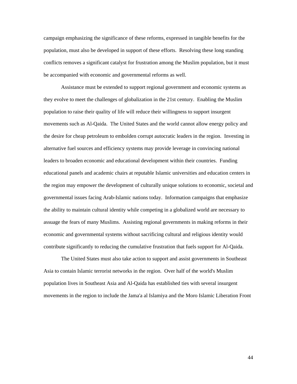campaign emphasizing the significance of these reforms, expressed in tangible benefits for the population, must also be developed in support of these efforts. Resolving these long standing conflicts removes a significant catalyst for frustration among the Muslim population, but it must be accompanied with economic and governmental reforms as well.

Assistance must be extended to support regional government and economic systems as they evolve to meet the challenges of globalization in the 21st century. Enabling the Muslim population to raise their quality of life will reduce their willingness to support insurgent movements such as Al-Qaida. The United States and the world cannot allow energy policy and the desire for cheap petroleum to embolden corrupt autocratic leaders in the region. Investing in alternative fuel sources and efficiency systems may provide leverage in convincing national leaders to broaden economic and educational development within their countries. Funding educational panels and academic chairs at reputable Islamic universities and education centers in the region may empower the development of culturally unique solutions to economic, societal and governmental issues facing Arab-Islamic nations today. Information campaigns that emphasize the ability to maintain cultural identity while competing in a globalized world are necessary to assuage the fears of many Muslims. Assisting regional governments in making reforms in their economic and governmental systems without sacrificing cultural and religious identity would contribute significantly to reducing the cumulative frustration that fuels support for Al-Qaida.

The United States must also take action to support and assist governments in Southeast Asia to contain Islamic terrorist networks in the region. Over half of the world's Muslim population lives in Southeast Asia and Al-Qaida has established ties with several insurgent movements in the region to include the Jama'a al Islamiya and the Moro Islamic Liberation Front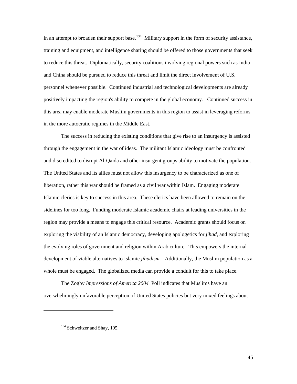in an attempt to broaden their support base.<sup>[134](#page-49-0)</sup> Military support in the form of security assistance, training and equipment, and intelligence sharing should be offered to those governments that seek to reduce this threat. Diplomatically, security coalitions involving regional powers such as India and China should be pursued to reduce this threat and limit the direct involvement of U.S. personnel whenever possible. Continued industrial and technological developments are already positively impacting the region's ability to compete in the global economy. Continued success in this area may enable moderate Muslim governments in this region to assist in leveraging reforms in the more autocratic regimes in the Middle East.

The success in reducing the existing conditions that give rise to an insurgency is assisted through the engagement in the war of ideas. The militant Islamic ideology must be confronted and discredited to disrupt Al-Qaida and other insurgent groups ability to motivate the population. The United States and its allies must not allow this insurgency to be characterized as one of liberation, rather this war should be framed as a civil war within Islam. Engaging moderate Islamic clerics is key to success in this area. These clerics have been allowed to remain on the sidelines for too long. Funding moderate Islamic academic chairs at leading universities in the region may provide a means to engage this critical resource. Academic grants should focus on exploring the viability of an Islamic democracy, developing apologetics for *jihad*, and exploring the evolving roles of government and religion within Arab culture. This empowers the internal development of viable alternatives to Islamic *jihadism*. Additionally, the Muslim population as a whole must be engaged. The globalized media can provide a conduit for this to take place.

The Zogby *Impressions of America 2004* Poll indicates that Muslims have an overwhelmingly unfavorable perception of United States policies but very mixed feelings about

<span id="page-49-0"></span><sup>&</sup>lt;sup>134</sup> Schweitzer and Shay, 195.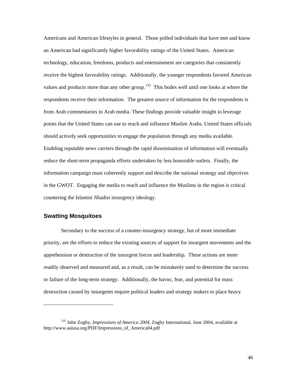<span id="page-50-0"></span>Americans and American lifestyles in general. Those polled individuals that have met and know an American had significantly higher favorability ratings of the United States. American technology, education, freedoms, products and entertainment are categories that consistently receive the highest favorability ratings. Additionally, the younger respondents favored American values and products more than any other group.<sup>[135](#page-50-1)</sup> This bodes well until one looks at where the respondents receive their information. The greatest source of information for the respondents is from Arab commentaries in Arab media. These findings provide valuable insight to leverage points that the United States can use to reach and influence Muslim Arabs. United States officials should actively seek opportunities to engage the population through any media available. Enabling reputable news carriers through the rapid dissemination of information will eventually reduce the short-term propaganda efforts undertaken by less honorable outlets. Finally, the information campaign must coherently support and describe the national strategy and objectives in the GWOT. Engaging the media to reach and influence the Muslims in the region is critical countering the Islamist Jihadist insurgency ideology.

## **Swatting Mosquitoes**

-

Secondary to the success of a counter-insurgency strategy, but of more immediate priority, are the efforts to reduce the existing sources of support for insurgent movements and the apprehension or destruction of the insurgent forces and leadership. These actions are more readily observed and measured and, as a result, can be mistakenly used to determine the success or failure of the long-term strategy. Additionally, the havoc, fear, and potential for mass destruction caused by insurgents require political leaders and strategy makers to place heavy

<span id="page-50-1"></span><sup>135</sup> John Zogby, *Impressions of America 2004*, Zogby International, June 2004, available at http://www.aaiusa.org/PDF/Impressions\_of\_America04.pdf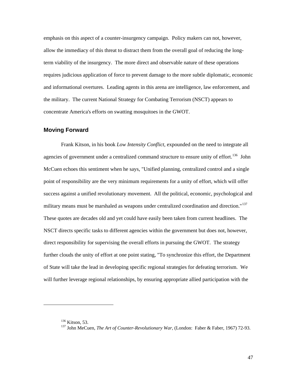<span id="page-51-0"></span>emphasis on this aspect of a counter-insurgency campaign. Policy makers can not, however, allow the immediacy of this threat to distract them from the overall goal of reducing the longterm viability of the insurgency. The more direct and observable nature of these operations requires judicious application of force to prevent damage to the more subtle diplomatic, economic and informational overtures. Leading agents in this arena are intelligence, law enforcement, and the military. The current National Strategy for Combating Terrorism (NSCT) appears to concentrate America's efforts on swatting mosquitoes in the GWOT.

#### **Moving Forward**

Frank Kitson, in his book *Low Intensity Conflict*, expounded on the need to integrate all agencies of government under a centralized command structure to ensure unity of effort.<sup>[136](#page-51-1)</sup> John McCuen echoes this sentiment when he says, "Unified planning, centralized control and a single point of responsibility are the very minimum requirements for a unity of effort, which will offer success against a unified revolutionary movement. All the political, economic, psychological and military means must be marshaled as weapons under centralized coordination and direction."<sup>[137](#page-51-2)</sup> These quotes are decades old and yet could have easily been taken from current headlines. The NSCT directs specific tasks to different agencies within the government but does not, however, direct responsibility for supervising the overall efforts in pursuing the GWOT. The strategy further clouds the unity of effort at one point stating, "To synchronize this effort, the Department of State will take the lead in developing specific regional strategies for defeating terrorism. We will further leverage regional relationships, by ensuring appropriate allied participation with the

<span id="page-51-2"></span><span id="page-51-1"></span>-

<sup>&</sup>lt;sup>136</sup> Kitson, 53.<br><sup>137</sup> John MeCuen, *The Art of Counter-Revolutionary War*, (London: Faber & Faber, 1967) 72-93.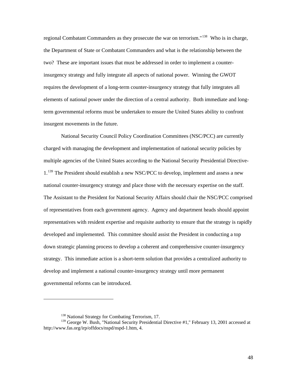regional Combatant Commanders as they prosecute the war on terrorism."[138](#page-52-0) Who is in charge, the Department of State or Combatant Commanders and what is the relationship between the two? These are important issues that must be addressed in order to implement a counterinsurgency strategy and fully integrate all aspects of national power. Winning the GWOT requires the development of a long-term counter-insurgency strategy that fully integrates all elements of national power under the direction of a central authority. Both immediate and longterm governmental reforms must be undertaken to ensure the United States ability to confront insurgent movements in the future.

National Security Council Policy Coordination Committees (NSC/PCC) are currently charged with managing the development and implementation of national security policies by multiple agencies of the United States according to the National Security Presidential Directive-1.<sup>[139](#page-52-1)</sup> The President should establish a new NSC/PCC to develop, implement and assess a new national counter-insurgency strategy and place those with the necessary expertise on the staff. The Assistant to the President for National Security Affairs should chair the NSC/PCC comprised of representatives from each government agency. Agency and department heads should appoint representatives with resident expertise and requisite authority to ensure that the strategy is rapidly developed and implemented. This committee should assist the President in conducting a top down strategic planning process to develop a coherent and comprehensive counter-insurgency strategy. This immediate action is a short-term solution that provides a centralized authority to develop and implement a national counter-insurgency strategy until more permanent governmental reforms can be introduced.

<sup>&</sup>lt;sup>138</sup> National Strategy for Combating Terrorism, 17.

<span id="page-52-1"></span><span id="page-52-0"></span><sup>&</sup>lt;sup>139</sup> George W. Bush, "National Security Presidential Directive #1," February 13, 2001 accessed at http://www.fas.org/irp/offdocs/nspd/nspd-1.htm, 4.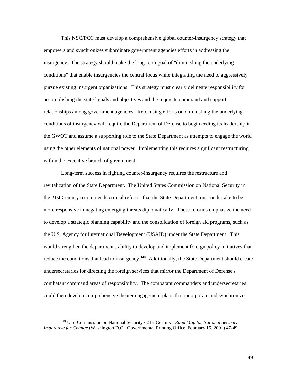This NSC/PCC must develop a comprehensive global counter-insurgency strategy that empowers and synchronizes subordinate government agencies efforts in addressing the insurgency. The strategy should make the long-term goal of "diminishing the underlying conditions" that enable insurgencies the central focus while integrating the need to aggressively pursue existing insurgent organizations. This strategy must clearly delineate responsibility for accomplishing the stated goals and objectives and the requisite command and support relationships among government agencies. Refocusing efforts on diminishing the underlying conditions of insurgency will require the Department of Defense to begin ceding its leadership in the GWOT and assume a supporting role to the State Department as attempts to engage the world using the other elements of national power. Implementing this requires significant restructuring within the executive branch of government.

Long-term success in fighting counter-insurgency requires the restructure and revitalization of the State Department. The United States Commission on National Security in the 21st Century recommends critical reforms that the State Department must undertake to be more responsive in negating emerging threats diplomatically. These reforms emphasize the need to develop a strategic planning capability and the consolidation of foreign aid programs, such as the U.S. Agency for International Development (USAID) under the State Department. This would strengthen the department's ability to develop and implement foreign policy initiatives that reduce the conditions that lead to insurgency.<sup>[140](#page-53-0)</sup> Additionally, the State Department should create undersecretaries for directing the foreign services that mirror the Department of Defense's combatant command areas of responsibility. The combatant commanders and undersecretaries could then develop comprehensive theater engagement plans that incorporate and synchronize

<span id="page-53-0"></span><sup>140</sup> U.S. Commission on National Security / 21st Century, *Road Map for National Security: Imperative for Change* (Washington D.C.: Governmental Printing Office, February 15, 2001) 47-49.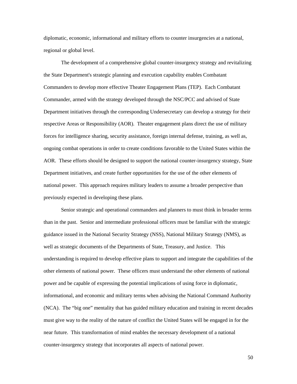diplomatic, economic, informational and military efforts to counter insurgencies at a national, regional or global level.

The development of a comprehensive global counter-insurgency strategy and revitalizing the State Department's strategic planning and execution capability enables Combatant Commanders to develop more effective Theater Engagement Plans (TEP). Each Combatant Commander, armed with the strategy developed through the NSC/PCC and advised of State Department initiatives through the corresponding Undersecretary can develop a strategy for their respective Areas or Responsibility (AOR). Theater engagement plans direct the use of military forces for intelligence sharing, security assistance, foreign internal defense, training, as well as, ongoing combat operations in order to create conditions favorable to the United States within the AOR. These efforts should be designed to support the national counter-insurgency strategy, State Department initiatives, and create further opportunities for the use of the other elements of national power. This approach requires military leaders to assume a broader perspective than previously expected in developing these plans.

Senior strategic and operational commanders and planners to must think in broader terms than in the past. Senior and intermediate professional officers must be familiar with the strategic guidance issued in the National Security Strategy (NSS), National Military Strategy (NMS), as well as strategic documents of the Departments of State, Treasury, and Justice. This understanding is required to develop effective plans to support and integrate the capabilities of the other elements of national power. These officers must understand the other elements of national power and be capable of expressing the potential implications of using force in diplomatic, informational, and economic and military terms when advising the National Command Authority (NCA). The "big one" mentality that has guided military education and training in recent decades must give way to the reality of the nature of conflict the United States will be engaged in for the near future. This transformation of mind enables the necessary development of a national counter-insurgency strategy that incorporates all aspects of national power.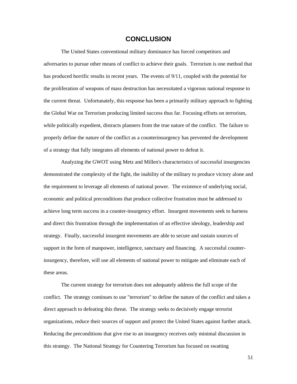## **CONCLUSION**

<span id="page-55-0"></span>The United States conventional military dominance has forced competitors and adversaries to pursue other means of conflict to achieve their goals. Terrorism is one method that has produced horrific results in recent years. The events of 9/11, coupled with the potential for the proliferation of weapons of mass destruction has necessitated a vigorous national response to the current threat. Unfortunately, this response has been a primarily military approach to fighting the Global War on Terrorism producing limited success thus far. Focusing efforts on terrorism, while politically expedient, distracts planners from the true nature of the conflict. The failure to properly define the nature of the conflict as a counterinsurgency has prevented the development of a strategy that fully integrates all elements of national power to defeat it.

Analyzing the GWOT using Metz and Millen's characteristics of successful insurgencies demonstrated the complexity of the fight, the inability of the military to produce victory alone and the requirement to leverage all elements of national power. The existence of underlying social, economic and political preconditions that produce collective frustration must be addressed to achieve long term success in a counter-insurgency effort. Insurgent movements seek to harness and direct this frustration through the implementation of an effective ideology, leadership and strategy. Finally, successful insurgent movements are able to secure and sustain sources of support in the form of manpower, intelligence, sanctuary and financing. A successful counterinsurgency, therefore, will use all elements of national power to mitigate and eliminate each of these areas.

The current strategy for terrorism does not adequately address the full scope of the conflict. The strategy continues to use "terrorism" to define the nature of the conflict and takes a direct approach to defeating this threat. The strategy seeks to decisively engage terrorist organizations, reduce their sources of support and protect the United States against further attack. Reducing the preconditions that give rise to an insurgency receives only minimal discussion in this strategy. The National Strategy for Countering Terrorism has focused on swatting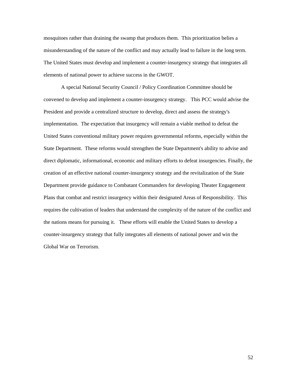mosquitoes rather than draining the swamp that produces them. This prioritization belies a misunderstanding of the nature of the conflict and may actually lead to failure in the long term. The United States must develop and implement a counter-insurgency strategy that integrates all elements of national power to achieve success in the GWOT.

A special National Security Council / Policy Coordination Committee should be convened to develop and implement a counter-insurgency strategy. This PCC would advise the President and provide a centralized structure to develop, direct and assess the strategy's implementation. The expectation that insurgency will remain a viable method to defeat the United States conventional military power requires governmental reforms, especially within the State Department. These reforms would strengthen the State Department's ability to advise and direct diplomatic, informational, economic and military efforts to defeat insurgencies. Finally, the creation of an effective national counter-insurgency strategy and the revitalization of the State Department provide guidance to Combatant Commanders for developing Theater Engagement Plans that combat and restrict insurgency within their designated Areas of Responsibility. This requires the cultivation of leaders that understand the complexity of the nature of the conflict and the nations means for pursuing it. These efforts will enable the United States to develop a counter-insurgency strategy that fully integrates all elements of national power and win the Global War on Terrorism.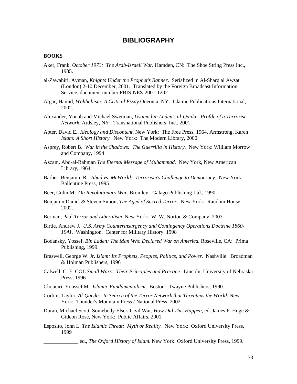## **BIBLIOGRAPHY**

#### <span id="page-57-0"></span>**BOOKS**

- Aker, Frank, *October 1973: The Arab-Israeli War.* Hamden, CN: The Shoe String Press Inc., 1985.
- al-Zawahiri, Ayman, *Knights Under the Prophet's Banner*. Serialized in Al-Sharq al Awsat (London) 2-10 December, 2001. Translated by the Foreign Broadcast Information Service, document number FBIS-NES-2001-1202
- Algar, Hamid, *Wahhabism: A Critical Essay* Oneonta. NY: Islamic Publications International, 2002.
- Alexander, Yonah and Michael Swetman, *Usama bin Laden's al-Qaida: Profile of a Terrorist Network*. Ardsley, NY: Transnational Publishers, Inc., 2001.
- Apter. David E., *Ideology and Discontent*. New York: The Free Press, 1964. Armstrong, Karen *Islam: A Short History.* New York: The Modern Library, 2000
- Asprey, Robert B. *War in the Shadows: The Guerrilla in History.* New York: William Morrow and Company, 1994
- Azzam, Abd-al-Rahman *The Eternal Message of Muhammad.* New York, New American Library, 1964.
- Barber, Benjamin R. *Jihad vs. McWorld: Terrorism's Challenge to Democracy.* New York: Ballentine Press, 1995
- Beer, Colin M. *On Revolutionary War.* Bromley: Galago Publishing Ltd., 1990
- Benjamin Daniel & Steven Simon, *The Aged of Sacred Terror*. New York: Random House, 2002.
- Berman, Paul *Terror and Liberalism* New York: W. W. Norton & Company, 2003
- Birtle, Andrew J. *U.S. Army Counterinsurgency and Contingency Operations Doctrine 1860- 1941.* Washington. Center for Military History, 1998
- Bodansky, Yossef, *Bin Laden: The Man Who Declared War on America.* Roseville, CA: Prima Publishing, 1999.
- Braswell, George W. Jr. *Islam: Its Prophets, Peoples, Politics, and Power.* Nashville: Broadman & Holman Publishers, 1996
- Calwell, C. E. COL *Small Wars: Their Principles and Practice.* Lincoln, University of Nebraska Press, 1996
- Choueiri, Youssef M. *Islamic Fundamentalism.* Boston: Twayne Publishers, 1990
- Corbin, Taylor Al-Qaeda: In Search of the Terror Network that Threatens the World. New York: Thunder's Mountain Press / National Press, 2002
- Doran, Michael Scott, Somebody Else's Civil War, *How Did This Happen*, ed. James F. Hoge & Gideon Rose, New York: Public Affairs, 2001.
- Esposito, John L. *The Islamic Threat: Myth or Reality.* New York: Oxford University Press, 1999

\_\_\_\_\_\_\_\_\_\_\_\_\_ ed., *The Oxford History of Islam*. New York: Oxford University Press, 1999.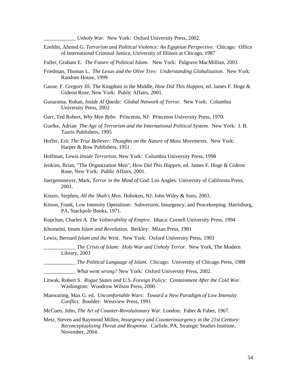\_\_\_\_\_\_\_\_\_\_\_\_ *Unholy War.* New York: Oxford University Press, 2002.

Ezeldin, Ahmed G. *Terrorism and Political Violence: An Egyptian Perspective.* Chicago: Office of International Criminal Justice, University of Illinois at Chicago, 1987

Fuller, Graham E. *The Future of Political Islam.* New York: Palgrave MacMillian, 2003

- Friedman, Thomas L. *The Lexus and the Olive Tree: Understanding Globalization.* New York: Random House, 1999
- Gause, F. Gregory III, The Kingdom in the Middle, *How Did This Happen*, ed. James F. Hoge & Gideon Rose, New York: Public Affairs, 2001.
- Gunaratna, Rohan, *Inside Al Qaeda: Global Network of Terror.* New York: Columbia University Press, 2002
- Gurr, Ted Robert, *Why Men Rebe.* Princeton, NJ: Princeton University Press, 1970.
- Guelke, Adrian *The Age of Terrorism and the International Political System.* New York: I. B. Tauris Publishers, 1995
- Hoffer, Eric *The True Believer: Thoughts on the Nature of Mass Movements.* New York: Harper & Row Publishers, 1951
- Hoffman, Lewis *Inside Terrorism,* New York: Columbia University Press, 1998
- Jenkins, Brian, "The Organization Men", *How Did This Happen*, ed. James F. Hoge & Gideon Rose, New York: Public Affairs, 2001.
- Juergensmeyer, Mark, *Terror in the Mind of God*. Los Angles: University of California Press, 2001.
- Kinzer, Stephen, *All the Shah's Men*. Hoboken, NJ: John Wiley & Sons, 2003.
- Kitson, Frank, Low Intensity Operations: Subversion, Insurgency, and Peacekeeping. Harrisburg, PA, Stackpole Books, 1971.
- Kupchan, Charles A. *The Vulnerability of Empire.* Ithaca: Cornell University Press, 1994
- Khomeini, Imam *Islam and Revolution.* Berkley: Mizan Press, 1981
- Lewis, Bernard *Islam and the West*. New York: Oxford University Press, 1993
	- \_\_\_\_\_\_\_\_\_\_\_\_ *The Crisis of Islam: Holy War and Unholy Terror.* New York, The Modern Library, 2003
		- \_\_\_\_\_\_\_\_\_\_\_\_ *The Political Language of Islam.* Chicago: University of Chicago Press, 1988
		- \_\_\_\_\_\_\_\_\_\_\_\_ *What went wrong?* New York: Oxford University Press, 2002.
- Litwak, Robert S. *Rogue States and U.S. Foreign Policy: Containment After the Cold War.*  Washington: Woodrow Wilson Press, 2000
- Manwaring, Max G. ed. *Uncomfortable Wars: Toward a New Paradigm of Low Intensity Conflict.* Boulder: Westview Press, 1991
- McCuen, John, *The Art of Counter-Revolutionary War*. London: Faber & Faber, 1967.
- Metz, Steven and Raymond Millen, *Insurgency and Counterinsurgency in the 21st Century: Reconceptualizing Threat and Response*. Carlisle, PA, Strategic Studies Institute, November, 2004.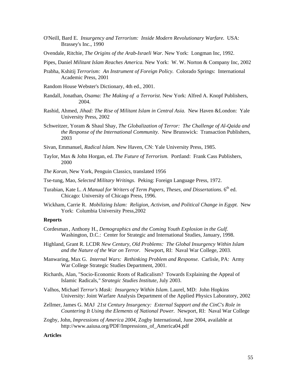- O'Neill, Bard E. *Insurgency and Terrorism: Inside Modern Revolutionary Warfare.* USA: Brassey's Inc., 1990
- Ovendale, Ritchie, *The Origins of the Arab-Israeli War.* New York: Longman Inc, 1992.
- Pipes, Daniel *Militant Islam Reaches America.* New York: W. W. Norton & Company Inc, 2002
- Prabha, Kshitij *Terrorism: An Instrument of Foreign Policy.* Colorado Springs: International Academic Press, 2001
- Random House Webster's Dictionary, 4th ed., 2001.
- Randall, Jonathan, *Osama: The Making of a Terrorist*. New York: Alfred A. Knopf Publishers, 2004.
- Rashid, Ahmed, *Jihad: The Rise of Militant Islam in Central Asia.* New Haven &London: Yale University Press, 2002
- Schweitzer, Yoram & Shaul Shay, *The Globalization of Terror: The Challenge of Al-Qaida and the Response of the International Community.* New Brunswick: Transaction Publishers, 2003
- Sivan, Emmanuel, *Radical Islam.* New Haven, CN: Yale University Press, 1985.
- Taylor, Max & John Horgan, ed. *The Future of Terrorism.* Portland: Frank Cass Publishers, 2000
- *The Koran,* New York, Penguin Classics, translated 1956
- Tse-tung, Mao, *Selected Military Writings*. Peking: Foreign Language Press, 1972.
- Turabian, Kate L. A Manual for Writers of Term Papers, Theses, and Dissertations. 6<sup>th</sup> ed. Chicago: University of Chicago Press, 1996.
- Wickham, Carrie R. *Mobilizing Islam: Religion, Activism, and Political Change in Egypt.* New York: Columbia University Press,2002

#### **Reports**

- Cordesman , Anthony H., *Demographics and the Coming Youth Explosion in the Gulf.* Washington, D.C.: Center for Strategic and International Studies, January, 1998.
- Highland, Grant R. LCDR *New Century, Old Problems: The Global Insurgency Within Islam and the Nature of the War on Terror.* Newport, RI: Naval War College, 2003.
- Manwaring, Max G. *Internal Wars: Rethinking Problem and Response.* Carlisle, PA: Army War College Strategic Studies Department, 2001.
- Richards, Alan*,* "Socio-Economic Roots of Radicalism? Towards Explaining the Appeal of Islamic Radicals,*" Strategic Studies Institute*, July 2003.
- Valhos, Michael *Terror's Mask: Insurgency Within Islam.* Laurel, MD: John Hopkins University: Joint Warfare Analysis Department of the Applied Physics Laboratory, 2002
- Zellmer, James G. MAJ *21st Century Insurgency: External Support and the CinC's Role in Countering It Using the Elements of National Power.* Newport, RI: Naval War College
- Zogby, John, *Impressions of America 2004*, Zogby International, June 2004, available at http://www.aaiusa.org/PDF/Impressions\_of\_America04.pdf

#### **Articles**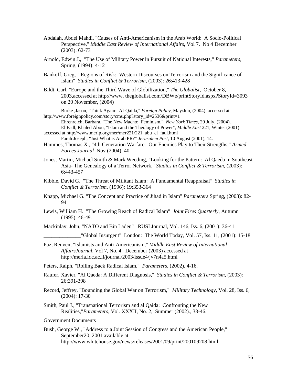- Abdalah, Abdel Mahdi, "Causes of Anti-Americanism in the Arab World: A Socio-Political Perspective," *Middle East Review of International Affairs*, Vol 7. No 4 December (2003): 62-73
- Arnold, Edwin J., "The Use of Military Power in Pursuit of National Interests," *Parameters*, Spring, (1994): 4-12
- Bankoff, Greg, "Regions of Risk: Western Discourses on Terrorism and the Significance of Islam" *Studies in Conflict & Terrorism*, (2003): 26:413-428
- Bildt, Carl, "Europe and the Third Wave of Globilization," *The Globalist*, October 8, 2003,accessed at http://www. theglobalist.com/DBWe/printStoryId.aspx?StoryId=3093 on 20 November, (2004)

Burke ,Jason, "Think Again: Al-Qaida*,*" *Foreign Policy*, May/Jun, (2004). accessed at http://www.foreignpolicy.com/story/cms.php?story\_id=2536&print=1

Ehrenreich, Barbara, "The New Macho: Feminism," *New York Times*, 29 July, (2004). El Fadl, Khaled Abou, "Islam and the Theology of Power", *Middle East* 221, Winter (2001) accessed at http://www.merip.org/mer/mer221/221\_abu\_el\_fadl.html

Farah Joseph, "Just What is Arab PR?" *Jerusalem Post*, 10 August (2001), 14.

- Hammes, Thomas X., "4th Generation Warfare: Our Enemies Play to Their Strengths," *Armed Forces Journal* Nov (2004): 40.
- Jones, Martin, Michael Smith & Mark Weeding, "Looking for the Pattern: Al Qaeda in Southeast Asia- The Genealogy of a Terror Network," *Studies in Conflict & Terrorism*, (2003): 6:443-457
- Kibble, David G. "The Threat of Militant Islam: A Fundamental Reappraisal*" Studies in Conflict & Terrorism*, (1996): 19:353-364
- Knapp, Michael G. "The Concept and Practice of Jihad in Islam" *Parameters* Spring, (2003): 82- 94
- Lewis, William H. "The Growing Reach of Radical Islam" *Joint Fires Quarterly*, Autumn (1995): 46-49.

Mackinlay, John, "NATO and Bin Laden" RUSI Journal, Vol. 146, Iss. 6, (2001): 36-41

 $\Box$ "Global Insurgent" London: The World Today, Vol. 57, Iss. 11, (2001): 15-18

- Paz, Reuven, "Islamists and Anti-Americanism," *Middle East Review of International AffairsJournal*, Vol 7, No. 4. December (2003) accessed at http://meria.idc.ac.il/journal/2003/issue4/jv7n4a5.html
- Peters, Ralph, "Rolling Back Radical Islam," *Parameters*, (2002), 4-16.
- Raufer, Xavier, "Al Qaeda: A Different Diagnosis," *Studies in Conflict & Terrorism*, (2003): 26:391-398
- Record, Jeffrey, "Bounding the Global War on Terrorism," *Military Technology*, Vol. 28, Iss. 6, (2004): 17-30
- Smith, Paul J., "Transnational Terrorism and al Qaida: Confronting the New Realities,"*Parameters*, Vol. XXXII, No. 2, Summer (2002)., 33-46.

Government Documents

Bush, George W., "Address to a Joint Session of Congress and the American People," September20, 2001 available at http://www.whitehouse.gov/news/releases/2001/09/print/200109208.html